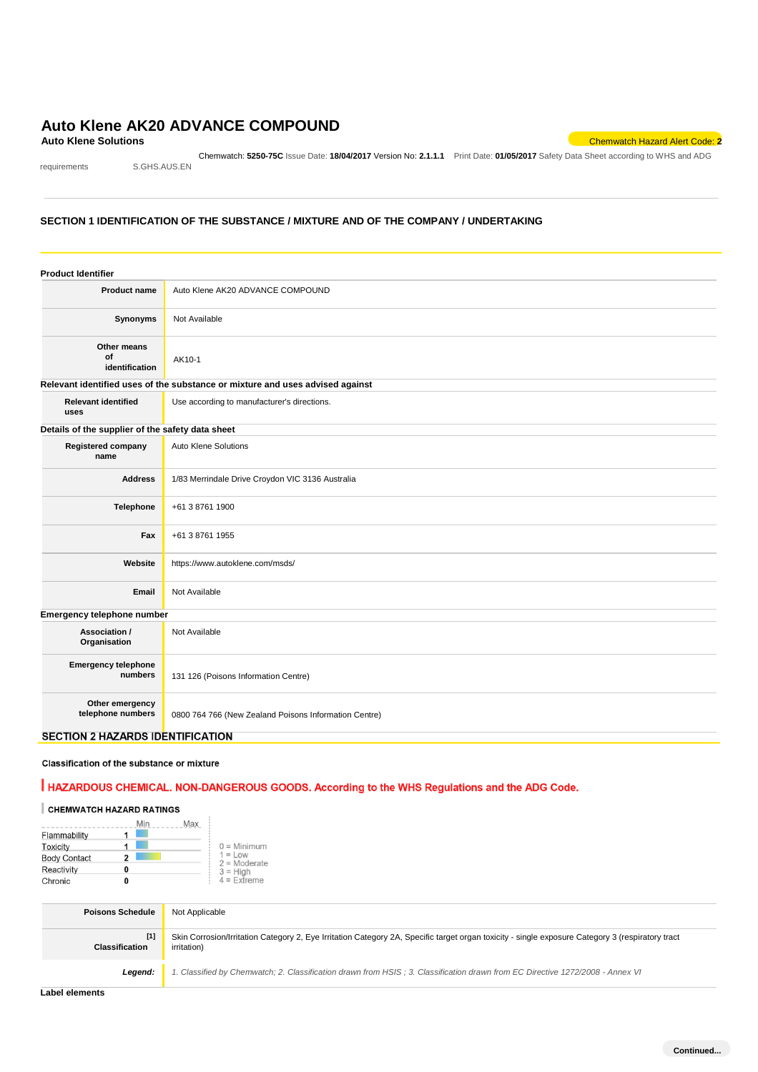# **Auto Klene AK20 ADVANCE COMPOUND**<br>Auto Klene Solutions

requirements S.GHS.AUS.EN

Chemwatch: **5250-75C** Issue Date: **18/04/2017** Version No: **2.1.1.1** Print Date: **01/05/2017** Safety Data Sheet according to WHS and ADG

**Auto Klene Solutions** Chemwatch Hazard Alert Code: **2**

#### **SECTION 1 IDENTIFICATION OF THE SUBSTANCE / MIXTURE AND OF THE COMPANY / UNDERTAKING**

| <b>Product Identifier</b>                        |                                                                               |
|--------------------------------------------------|-------------------------------------------------------------------------------|
| <b>Product name</b>                              | Auto Klene AK20 ADVANCE COMPOUND                                              |
| Synonyms                                         | Not Available                                                                 |
| Other means<br>of<br>identification              | AK10-1                                                                        |
|                                                  | Relevant identified uses of the substance or mixture and uses advised against |
| <b>Relevant identified</b><br>uses               | Use according to manufacturer's directions.                                   |
| Details of the supplier of the safety data sheet |                                                                               |
| Registered company<br>name                       | Auto Klene Solutions                                                          |
| <b>Address</b>                                   | 1/83 Merrindale Drive Croydon VIC 3136 Australia                              |
| Telephone                                        | +61 3 8761 1900                                                               |
| Fax                                              | +61 3 8761 1955                                                               |
| Website                                          | https://www.autoklene.com/msds/                                               |
| Email                                            | Not Available                                                                 |
| Emergency telephone number                       |                                                                               |
| Association /<br>Organisation                    | Not Available                                                                 |
| <b>Emergency telephone</b><br>numbers            | 131 126 (Poisons Information Centre)                                          |
| Other emergency<br>telephone numbers             | 0800 764 766 (New Zealand Poisons Information Centre)                         |
| <b>SECTION 2 HAZARDS IDENTIFICATION</b>          |                                                                               |

#### Classification of the substance or mixture

# HAZARDOUS CHEMICAL. NON-DANGEROUS GOODS. According to the WHS Regulations and the ADG Code.

# CHEMWATCH HAZARD RATINGS

|                     | Min<br>Max |                             |
|---------------------|------------|-----------------------------|
| Flammability        |            |                             |
| Toxicity            |            | $0 =$ Minimum               |
| <b>Body Contact</b> | 2          | $1 = Low$<br>$2 =$ Moderate |
| Reactivity          | o          | $3 =$ High                  |
| Chronic             | O          | $4 =$ Extreme               |

| <b>Poisons Schedule</b> | Not Applicable                                                                                                                                                          |
|-------------------------|-------------------------------------------------------------------------------------------------------------------------------------------------------------------------|
| $[1]$<br>Classification | Skin Corrosion/Irritation Category 2, Eye Irritation Category 2A, Specific target organ toxicity - single exposure Category 3 (respiratory tract<br><i>irritation</i> ) |
| Legend:                 | 1. Classified by Chemwatch; 2. Classification drawn from HSIS; 3. Classification drawn from EC Directive 1272/2008 - Annex VI                                           |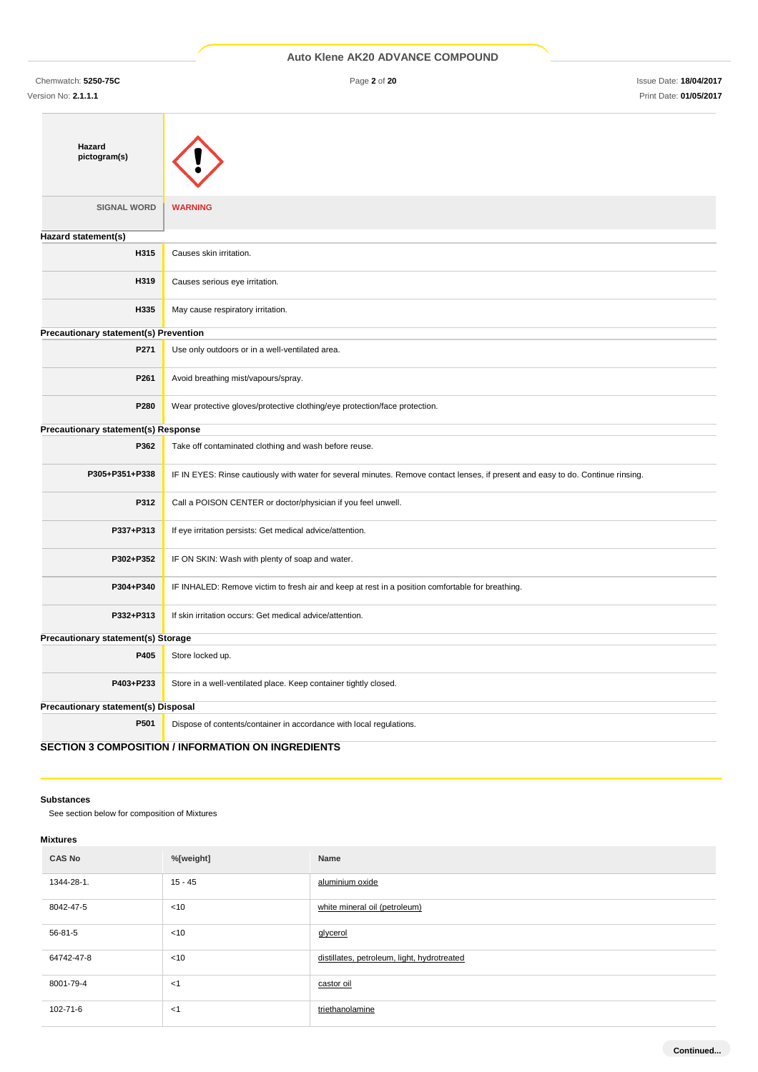|  |  | Auto Klene AK20 ADVANCE COMPOUND |
|--|--|----------------------------------|
|  |  |                                  |

Chemwatch: **5250-75C** Page **2** of **20** Issue Date: **18/04/2017** Version No: **2.1.1.1** Print Date: **01/05/2017**

| Hazard<br>pictogram(s)                |                                                                                                                                  |  |  |
|---------------------------------------|----------------------------------------------------------------------------------------------------------------------------------|--|--|
| <b>SIGNAL WORD</b>                    | <b>WARNING</b>                                                                                                                   |  |  |
| Hazard statement(s)                   |                                                                                                                                  |  |  |
| H315                                  | Causes skin irritation.                                                                                                          |  |  |
| H319                                  | Causes serious eye irritation.                                                                                                   |  |  |
| H335                                  | May cause respiratory irritation.                                                                                                |  |  |
| Precautionary statement(s) Prevention |                                                                                                                                  |  |  |
| P271                                  | Use only outdoors or in a well-ventilated area.                                                                                  |  |  |
| P261                                  | Avoid breathing mist/vapours/spray.                                                                                              |  |  |
| P280                                  | Wear protective gloves/protective clothing/eye protection/face protection.                                                       |  |  |
| Precautionary statement(s) Response   |                                                                                                                                  |  |  |
| P362                                  | Take off contaminated clothing and wash before reuse.                                                                            |  |  |
| P305+P351+P338                        | IF IN EYES: Rinse cautiously with water for several minutes. Remove contact lenses, if present and easy to do. Continue rinsing. |  |  |
| P312                                  | Call a POISON CENTER or doctor/physician if you feel unwell.                                                                     |  |  |
| P337+P313                             | If eye irritation persists: Get medical advice/attention.                                                                        |  |  |
| P302+P352                             | IF ON SKIN: Wash with plenty of soap and water.                                                                                  |  |  |
| P304+P340                             | IF INHALED: Remove victim to fresh air and keep at rest in a position comfortable for breathing.                                 |  |  |
| P332+P313                             | If skin irritation occurs: Get medical advice/attention.                                                                         |  |  |
| Precautionary statement(s) Storage    |                                                                                                                                  |  |  |
| P405                                  | Store locked up.                                                                                                                 |  |  |
| P403+P233                             | Store in a well-ventilated place. Keep container tightly closed.                                                                 |  |  |
| Precautionary statement(s) Disposal   |                                                                                                                                  |  |  |
| P501                                  | Dispose of contents/container in accordance with local regulations.                                                              |  |  |
|                                       | <b>SECTION 3 COMPOSITION / INFORMATION ON INGREDIENTS</b>                                                                        |  |  |

**Substances**

See section below for composition of Mixtures

## **Mixtures**

| <b>CAS No</b> | %[weight] | Name                                        |
|---------------|-----------|---------------------------------------------|
| 1344-28-1.    | $15 - 45$ | aluminium oxide                             |
| 8042-47-5     | < 10      | white mineral oil (petroleum)               |
| 56-81-5       | $<$ 10    | glycerol                                    |
| 64742-47-8    | < 10      | distillates, petroleum, light, hydrotreated |
| 8001-79-4     | < 1       | castor oil                                  |
| 102-71-6      | < 1       | triethanolamine                             |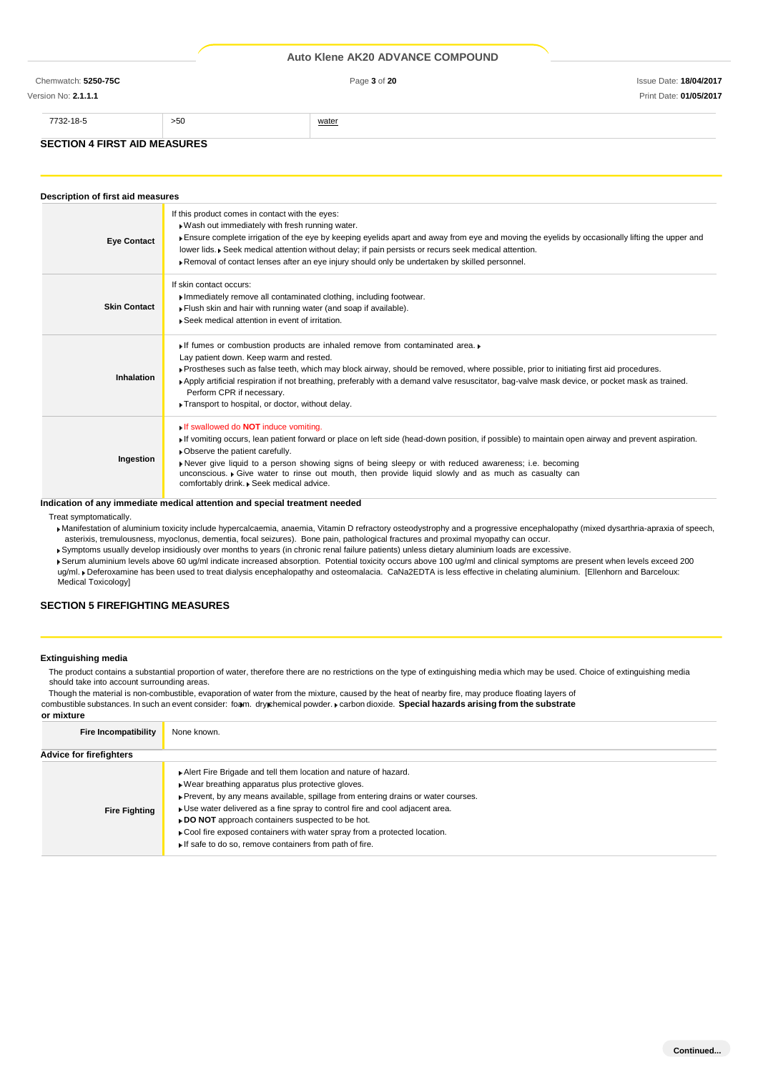Version No: **2.1.1.1** Print Date: **01/05/2017**

#### **SECTION 4 FIRST AID MEASURES**

7732-18-5 >50 water

#### **Description of first aid measures Eye Contact** If this product comes in contact with the eyes: Wash out immediately with fresh running water. Ensure complete irrigation of the eye by keeping eyelids apart and away from eye and moving the eyelids by occasionally lifting the upper and lower lids. Seek medical attention without delay; if pain persists or recurs seek medical attention Removal of contact lenses after an eye injury should only be undertaken by skilled personnel. **Skin Contact** If skin contact occurs: Immediately remove all contaminated clothing, including footwear. Flush skin and hair with running water (and soap if available). Seek medical attention in event of irritation. **Inhalation** If fumes or combustion products are inhaled remove from contaminated area. Lay patient down. Keep warm and rested. Prostheses such as false teeth, which may block airway, should be removed, where possible, prior to initiating first aid procedures. Apply artificial respiration if not breathing, preferably with a demand valve resuscitator, bag-valve mask device, or pocket mask as trained. Perform CPR if necessary. Transport to hospital, or doctor, without delay. **Ingestion** If swallowed do **NOT** induce vomiting. If vomiting occurs, lean patient forward or place on left side (head-down position, if possible) to maintain open airway and prevent aspiration. Observe the patient carefully. Never give liquid to a person showing signs of being sleepy or with reduced awareness; i.e. becoming unconscious. Give water to rinse out mouth, then provide liquid slowly and as much as casualty can comfortably drink. Beek medical advice.

#### **Indication of any immediate medical attention and special treatment needed**

Treat symptomatically.

Manifestation of aluminium toxicity include hypercalcaemia, anaemia, Vitamin D refractory osteodystrophy and a progressive encephalopathy (mixed dysarthria-apraxia of speech, asterixis, tremulousness, myoclonus, dementia, focal seizures). Bone pain, pathological fractures and proximal myopathy can occur.

- Symptoms usually develop insidiously over months to years (in chronic renal failure patients) unless dietary aluminium loads are excessive.
- Serum aluminium levels above 60 ug/ml indicate increased absorption. Potential toxicity occurs above 100 ug/ml and clinical symptoms are present when levels exceed 200 ug/ml. Deferoxamine has been used to treat dialysis encephalopathy and osteomalacia. CaNa2EDTA is less effective in chelating aluminium. [Ellenhorn and Barceloux: Medical Toxicology]

### **SECTION 5 FIREFIGHTING MEASURES**

#### **Extinguishing media**

**or mixture**

The product contains a substantial proportion of water, therefore there are no restrictions on the type of extinguishing media which may be used. Choice of extinguishing media should take into account surrounding areas.

Though the material is non-combustible, evaporation of water from the mixture, caused by the heat of nearby fire, may produce floating layers of combustible substances. In such an event consider: foam. dry chemical powder. **F** carbon dioxide. Special hazards arising from the substrate

| <b>Fire Incompatibility</b>    | None known.                                                                                                                                                                                                                                                                                                                                                                                                                                                                             |
|--------------------------------|-----------------------------------------------------------------------------------------------------------------------------------------------------------------------------------------------------------------------------------------------------------------------------------------------------------------------------------------------------------------------------------------------------------------------------------------------------------------------------------------|
| <b>Advice for firefighters</b> |                                                                                                                                                                                                                                                                                                                                                                                                                                                                                         |
| <b>Fire Fighting</b>           | Alert Fire Brigade and tell them location and nature of hazard.<br>Wear breathing apparatus plus protective gloves.<br>▶ Prevent, by any means available, spillage from entering drains or water courses.<br>• Use water delivered as a fine spray to control fire and cool adjacent area.<br>► DO NOT approach containers suspected to be hot.<br>• Cool fire exposed containers with water spray from a protected location.<br>If safe to do so, remove containers from path of fire. |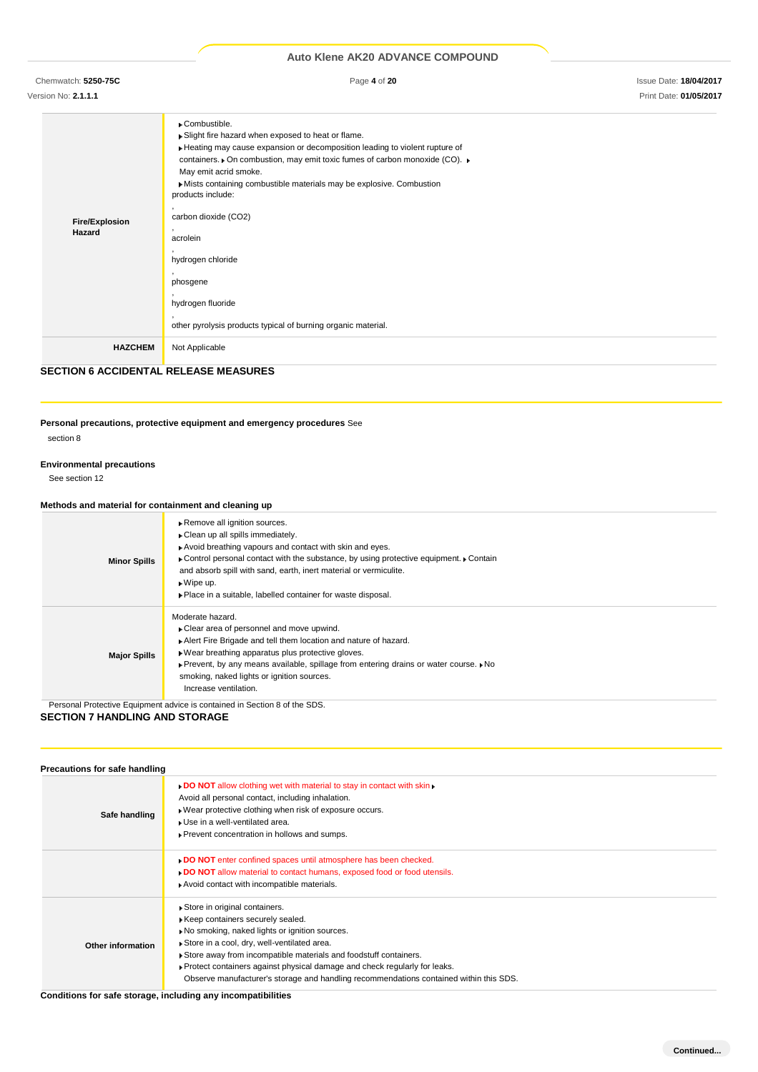Chemwatch: **5250-75C** Page **4** of **20** Issue Date: **18/04/2017**

Version No: **2.1.1.1** Print Date: **01/05/2017**

| <b>Fire/Explosion</b><br>Hazard | Combustible.<br>Slight fire hazard when exposed to heat or flame.<br>Heating may cause expansion or decomposition leading to violent rupture of<br>containers. • On combustion, may emit toxic fumes of carbon monoxide (CO). ►<br>May emit acrid smoke.<br>Mists containing combustible materials may be explosive. Combustion<br>products include:<br>carbon dioxide (CO2)<br>acrolein<br>hydrogen chloride<br>phosgene<br>hydrogen fluoride<br>other pyrolysis products typical of burning organic material. |
|---------------------------------|-----------------------------------------------------------------------------------------------------------------------------------------------------------------------------------------------------------------------------------------------------------------------------------------------------------------------------------------------------------------------------------------------------------------------------------------------------------------------------------------------------------------|
| <b>HAZCHEM</b>                  | Not Applicable                                                                                                                                                                                                                                                                                                                                                                                                                                                                                                  |

# **SECTION 6 ACCIDENTAL RELEASE MEASURES**

# **Personal precautions, protective equipment and emergency procedures** See

section 8

#### **Environmental precautions**

See section 12

# **Methods and material for containment and cleaning up**

| <b>Minor Spills</b> | Remove all ignition sources.<br>Clean up all spills immediately.<br>Avoid breathing vapours and contact with skin and eyes.<br>▶ Control personal contact with the substance, by using protective equipment. ▶ Contain<br>and absorb spill with sand, earth, inert material or vermiculite.<br>$\bullet$ Wipe up.<br>• Place in a suitable, labelled container for waste disposal. |
|---------------------|------------------------------------------------------------------------------------------------------------------------------------------------------------------------------------------------------------------------------------------------------------------------------------------------------------------------------------------------------------------------------------|
| <b>Major Spills</b> | Moderate hazard.<br>• Clear area of personnel and move upwind.<br>Alert Fire Brigade and tell them location and nature of hazard.<br>Wear breathing apparatus plus protective gloves.<br>▶ Prevent, by any means available, spillage from entering drains or water course. ▶ No<br>smoking, naked lights or ignition sources.<br>Increase ventilation.                             |

Personal Protective Equipment advice is contained in Section 8 of the SDS.

# **SECTION 7 HANDLING AND STORAGE**

| Precautions for safe handling |                                                                                                                                                                                                                                                                                                                                                                                                                |
|-------------------------------|----------------------------------------------------------------------------------------------------------------------------------------------------------------------------------------------------------------------------------------------------------------------------------------------------------------------------------------------------------------------------------------------------------------|
| Safe handling                 | . DO NOT allow clothing wet with material to stay in contact with skin.<br>Avoid all personal contact, including inhalation.<br>▶ Wear protective clothing when risk of exposure occurs.<br>Use in a well-ventilated area.<br>▶ Prevent concentration in hollows and sumps.                                                                                                                                    |
|                               | DO NOT enter confined spaces until atmosphere has been checked.<br>DO NOT allow material to contact humans, exposed food or food utensils.<br>Avoid contact with incompatible materials.                                                                                                                                                                                                                       |
| Other information             | Store in original containers.<br>Keep containers securely sealed.<br>No smoking, naked lights or ignition sources.<br>Store in a cool, dry, well-ventilated area.<br>Store away from incompatible materials and foodstuff containers.<br>▶ Protect containers against physical damage and check regularly for leaks.<br>Observe manufacturer's storage and handling recommendations contained within this SDS. |

**Conditions for safe storage, including any incompatibilities**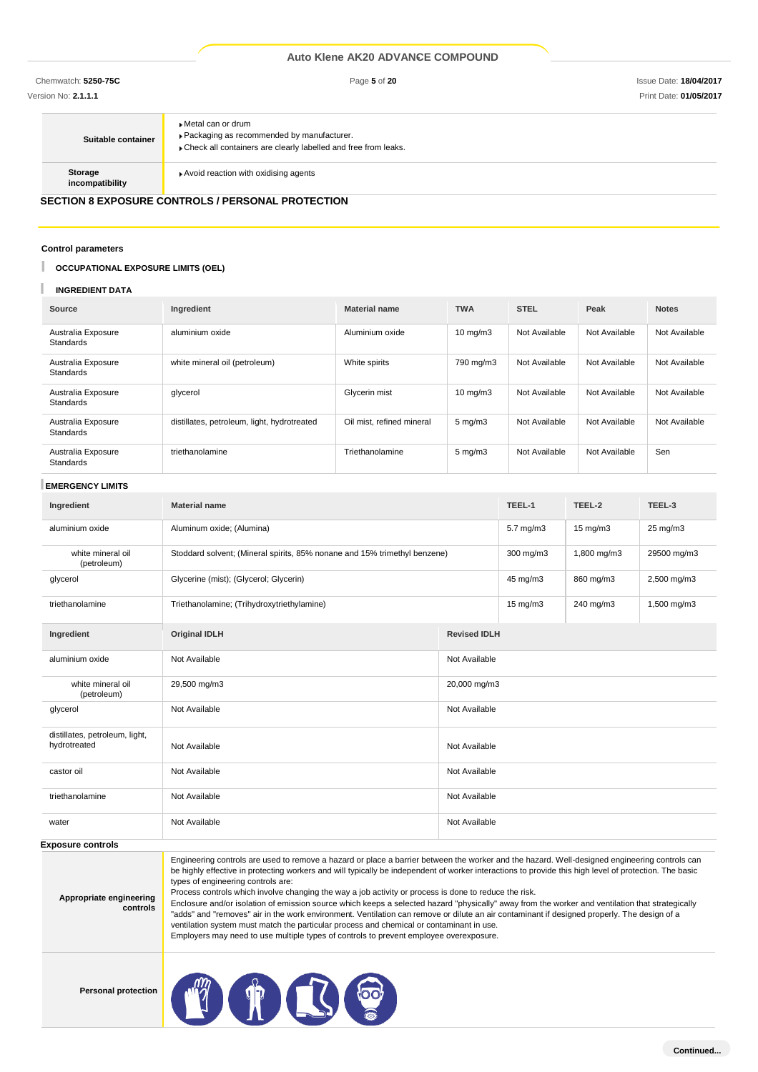Version No: **2.1.1.1** Print Date: **01/05/2017**

| Suitable container         | ▶ Metal can or drum<br>Packaging as recommended by manufacturer.<br>Check all containers are clearly labelled and free from leaks. |
|----------------------------|------------------------------------------------------------------------------------------------------------------------------------|
| Storage<br>incompatibility | Avoid reaction with oxidising agents                                                                                               |

# **SECTION 8 EXPOSURE CONTROLS / PERSONAL PROTECTION**

#### **Control parameters**

#### I **OCCUPATIONAL EXPOSURE LIMITS (OEL)**

#### **INGREDIENT DATA**

| Source                                 | Ingredient                                  | <b>Material name</b>      | <b>TWA</b>         | <b>STEL</b>   | Peak          | <b>Notes</b>  |
|----------------------------------------|---------------------------------------------|---------------------------|--------------------|---------------|---------------|---------------|
| Australia Exposure<br><b>Standards</b> | aluminium oxide                             | Aluminium oxide           | $10 \text{ mg/m}$  | Not Available | Not Available | Not Available |
| Australia Exposure<br><b>Standards</b> | white mineral oil (petroleum)               | White spirits             | 790 mg/m3          | Not Available | Not Available | Not Available |
| Australia Exposure<br><b>Standards</b> | glycerol                                    | Glycerin mist             | $10 \text{ mg/m}$  | Not Available | Not Available | Not Available |
| Australia Exposure<br><b>Standards</b> | distillates, petroleum, light, hydrotreated | Oil mist, refined mineral | $5 \text{ mg/m}$ 3 | Not Available | Not Available | Not Available |
| Australia Exposure<br>Standards        | triethanolamine                             | Triethanolamine           | $5 \text{ mg/m}$   | Not Available | Not Available | Sen           |

#### **EMERGENCY LIMITS**

| Ingredient                                     | <b>Material name</b>                                                      |                     | TEEL-1            | TEEL-2            | TEEL-3      |  |
|------------------------------------------------|---------------------------------------------------------------------------|---------------------|-------------------|-------------------|-------------|--|
| aluminium oxide                                | Aluminum oxide; (Alumina)                                                 |                     | 5.7 mg/m3         | $15 \text{ mg/m}$ | 25 mg/m3    |  |
| white mineral oil<br>(petroleum)               | Stoddard solvent; (Mineral spirits, 85% nonane and 15% trimethyl benzene) |                     | 300 mg/m3         | 1,800 mg/m3       | 29500 mg/m3 |  |
| glycerol                                       | Glycerine (mist); (Glycerol; Glycerin)                                    |                     | 45 mg/m3          | 860 mg/m3         | 2,500 mg/m3 |  |
| triethanolamine                                | Triethanolamine; (Trihydroxytriethylamine)                                |                     | $15 \text{ mg/m}$ | 240 mg/m3         | 1,500 mg/m3 |  |
| Ingredient                                     | <b>Original IDLH</b>                                                      | <b>Revised IDLH</b> |                   |                   |             |  |
| aluminium oxide                                | Not Available                                                             | Not Available       |                   |                   |             |  |
| white mineral oil<br>(petroleum)               | 29,500 mg/m3                                                              | 20,000 mg/m3        |                   |                   |             |  |
| glycerol                                       | Not Available                                                             | Not Available       |                   |                   |             |  |
| distillates, petroleum, light,<br>hydrotreated | Not Available                                                             | Not Available       |                   |                   |             |  |
| castor oil                                     | Not Available                                                             | Not Available       |                   |                   |             |  |
| triethanolamine                                | Not Available                                                             | Not Available       |                   |                   |             |  |
| water                                          | Not Available                                                             | Not Available       |                   |                   |             |  |

#### **Exposure controls**

**Appropriate engineering controls**

Engineering controls are used to remove a hazard or place a barrier between the worker and the hazard. Well-designed engineering controls can be highly effective in protecting workers and will typically be independent of worker interactions to provide this high level of protection. The basic types of engineering controls are: Process controls which involve changing the way a job activity or process is done to reduce the risk.

Enclosure and/or isolation of emission source which keeps a selected hazard "physically" away from the worker and ventilation that strategically "adds" and "removes" air in the work environment. Ventilation can remove or dilute an air contaminant if designed properly. The design of a ventilation system must match the particular process and chemical or contaminant in use. Employers may need to use multiple types of controls to prevent employee overexposure.

**Personal protection**

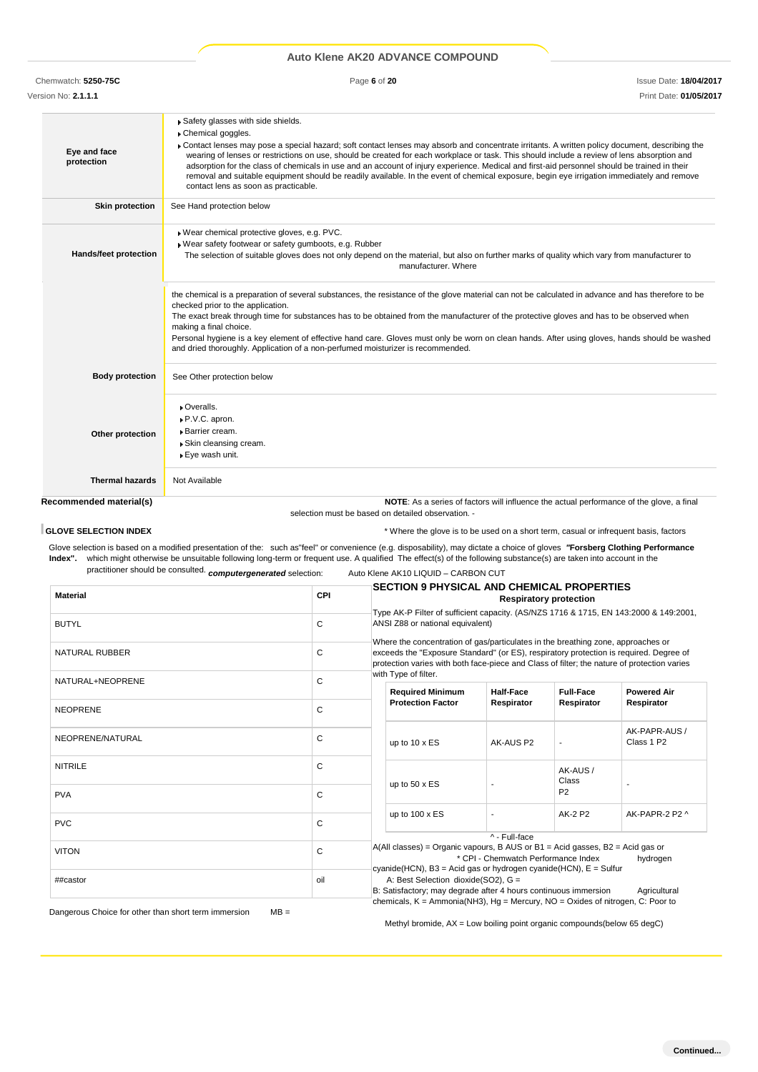Chemwatch: **5250-75C** Page **6** of **20** Issue Date: **18/04/2017**

Version No: **2.1.1.1** Print Date: **01/05/2017**

| Recommended material(s)      | NOTE: As a series of factors will influence the actual performance of the glove, a final                                                                                                                                                                                                                                                                                                                                                                                                                                                                                                                                                                                                     |
|------------------------------|----------------------------------------------------------------------------------------------------------------------------------------------------------------------------------------------------------------------------------------------------------------------------------------------------------------------------------------------------------------------------------------------------------------------------------------------------------------------------------------------------------------------------------------------------------------------------------------------------------------------------------------------------------------------------------------------|
| <b>Thermal hazards</b>       | Not Available                                                                                                                                                                                                                                                                                                                                                                                                                                                                                                                                                                                                                                                                                |
| Other protection             | • Overalls.<br>P.V.C. apron.<br>· Barrier cream.<br>▶ Skin cleansing cream.<br>▶ Eye wash unit.                                                                                                                                                                                                                                                                                                                                                                                                                                                                                                                                                                                              |
| <b>Body protection</b>       | See Other protection below                                                                                                                                                                                                                                                                                                                                                                                                                                                                                                                                                                                                                                                                   |
|                              | the chemical is a preparation of several substances, the resistance of the glove material can not be calculated in advance and has therefore to be<br>checked prior to the application.<br>The exact break through time for substances has to be obtained from the manufacturer of the protective gloves and has to be observed when<br>making a final choice.<br>Personal hygiene is a key element of effective hand care. Gloves must only be worn on clean hands. After using gloves, hands should be washed<br>and dried thoroughly. Application of a non-perfumed moisturizer is recommended.                                                                                           |
| <b>Hands/feet protection</b> | Wear chemical protective gloves, e.g. PVC.<br>Wear safety footwear or safety gumboots, e.g. Rubber<br>The selection of suitable gloves does not only depend on the material, but also on further marks of quality which vary from manufacturer to<br>manufacturer. Where                                                                                                                                                                                                                                                                                                                                                                                                                     |
| <b>Skin protection</b>       | See Hand protection below                                                                                                                                                                                                                                                                                                                                                                                                                                                                                                                                                                                                                                                                    |
| Eye and face<br>protection   | Safety glasses with side shields.<br>Chemical goggles.<br>Contact lenses may pose a special hazard; soft contact lenses may absorb and concentrate irritants. A written policy document, describing the<br>wearing of lenses or restrictions on use, should be created for each workplace or task. This should include a review of lens absorption and<br>adsorption for the class of chemicals in use and an account of injury experience. Medical and first-aid personnel should be trained in their<br>removal and suitable equipment should be readily available. In the event of chemical exposure, begin eye irrigation immediately and remove<br>contact lens as soon as practicable. |
|                              |                                                                                                                                                                                                                                                                                                                                                                                                                                                                                                                                                                                                                                                                                              |

**GLOVE SELECTION INDEX EXECTION INDEX EXECTION INDEX EXECUTE:**  $\star$  Where the glove is to be used on a short term, casual or infrequent basis, factors

Glove selection is based on a modified presentation of the: such as"feel" or convenience (e.g. disposability), may dictate a choice of gloves *"***Forsberg Clothing Performance Index".** which might otherwise be unsuitable following long-term or frequent use. A qualified The effect(s) of the following substance(s) are taken into account in the practitioner should be consulted. *computergenerated* selection: Auto Klene AK10 LIQUID – CARBON CUT

selection must be based on detailed observation. -

|                       |            | <b>SECTION 9 PHYSICAL AND CHEMICAL PROPERTIES</b>                                                                                                                                                             |                                     |                                                                                                                           |                                                                                        |  |
|-----------------------|------------|---------------------------------------------------------------------------------------------------------------------------------------------------------------------------------------------------------------|-------------------------------------|---------------------------------------------------------------------------------------------------------------------------|----------------------------------------------------------------------------------------|--|
| <b>Material</b>       | <b>CPI</b> | <b>Respiratory protection</b>                                                                                                                                                                                 |                                     |                                                                                                                           |                                                                                        |  |
|                       |            | Type AK-P Filter of sufficient capacity. (AS/NZS 1716 & 1715, EN 143:2000 & 149:2001,<br>ANSI Z88 or national equivalent)<br>Where the concentration of gas/particulates in the breathing zone, approaches or |                                     |                                                                                                                           |                                                                                        |  |
| <b>BUTYL</b>          | C          |                                                                                                                                                                                                               |                                     |                                                                                                                           |                                                                                        |  |
|                       |            |                                                                                                                                                                                                               |                                     |                                                                                                                           |                                                                                        |  |
| <b>NATURAL RUBBER</b> | C          |                                                                                                                                                                                                               |                                     |                                                                                                                           | exceeds the "Exposure Standard" (or ES), respiratory protection is required. Degree of |  |
|                       |            | protection varies with both face-piece and Class of filter; the nature of protection varies<br>with Type of filter.                                                                                           |                                     |                                                                                                                           |                                                                                        |  |
| NATURAL+NEOPRENE      | C          | <b>Required Minimum</b>                                                                                                                                                                                       | <b>Half-Face</b>                    | <b>Full-Face</b>                                                                                                          | <b>Powered Air</b>                                                                     |  |
|                       |            | <b>Protection Factor</b>                                                                                                                                                                                      | Respirator                          | Respirator                                                                                                                | Respirator                                                                             |  |
| <b>NEOPRENE</b>       | C          |                                                                                                                                                                                                               |                                     |                                                                                                                           |                                                                                        |  |
|                       |            |                                                                                                                                                                                                               | AK-AUS P2                           |                                                                                                                           | AK-PAPR-AUS /                                                                          |  |
| NEOPRENE/NATURAL      | C          | up to 10 x ES                                                                                                                                                                                                 |                                     |                                                                                                                           | Class 1 P2                                                                             |  |
| <b>NITRILE</b>        | C          |                                                                                                                                                                                                               |                                     |                                                                                                                           |                                                                                        |  |
|                       |            |                                                                                                                                                                                                               |                                     | AK-AUS/<br>Class                                                                                                          |                                                                                        |  |
| <b>PVA</b>            | C          | up to $50 \times ES$                                                                                                                                                                                          |                                     | P <sub>2</sub>                                                                                                            |                                                                                        |  |
|                       |            |                                                                                                                                                                                                               |                                     |                                                                                                                           |                                                                                        |  |
| <b>PVC</b>            | C          | up to 100 x ES                                                                                                                                                                                                |                                     | AK-2 P2                                                                                                                   | AK-PAPR-2 P2 ^                                                                         |  |
|                       |            |                                                                                                                                                                                                               |                                     |                                                                                                                           |                                                                                        |  |
| <b>VITON</b>          | C          | $A(All classes) = Organic vapours, B AUS or B1 = Acid gases, B2 = Acid gas or$                                                                                                                                |                                     |                                                                                                                           |                                                                                        |  |
|                       |            |                                                                                                                                                                                                               |                                     | * CPI - Chemwatch Performance Index<br>hydrogen<br>cyanide (HCN), $B3$ = Acid gas or hydrogen cyanide (HCN), $E = Sulfur$ |                                                                                        |  |
| ##castor              | oil        |                                                                                                                                                                                                               | A: Best Selection dioxide(SO2), G = |                                                                                                                           |                                                                                        |  |
|                       |            | B: Satisfactory; may degrade after 4 hours continuous immersion<br>Agricultural                                                                                                                               |                                     |                                                                                                                           |                                                                                        |  |
|                       |            | chemicals, $K = \text{Ammonia(NH3)}$ , $Hg = \text{Mercury}$ , $NO = \text{Oxides}$ of nitrogen, C: Poor to                                                                                                   |                                     |                                                                                                                           |                                                                                        |  |

Dangerous Choice for other than short term immersion MB =

Methyl bromide, AX = Low boiling point organic compounds(below 65 degC)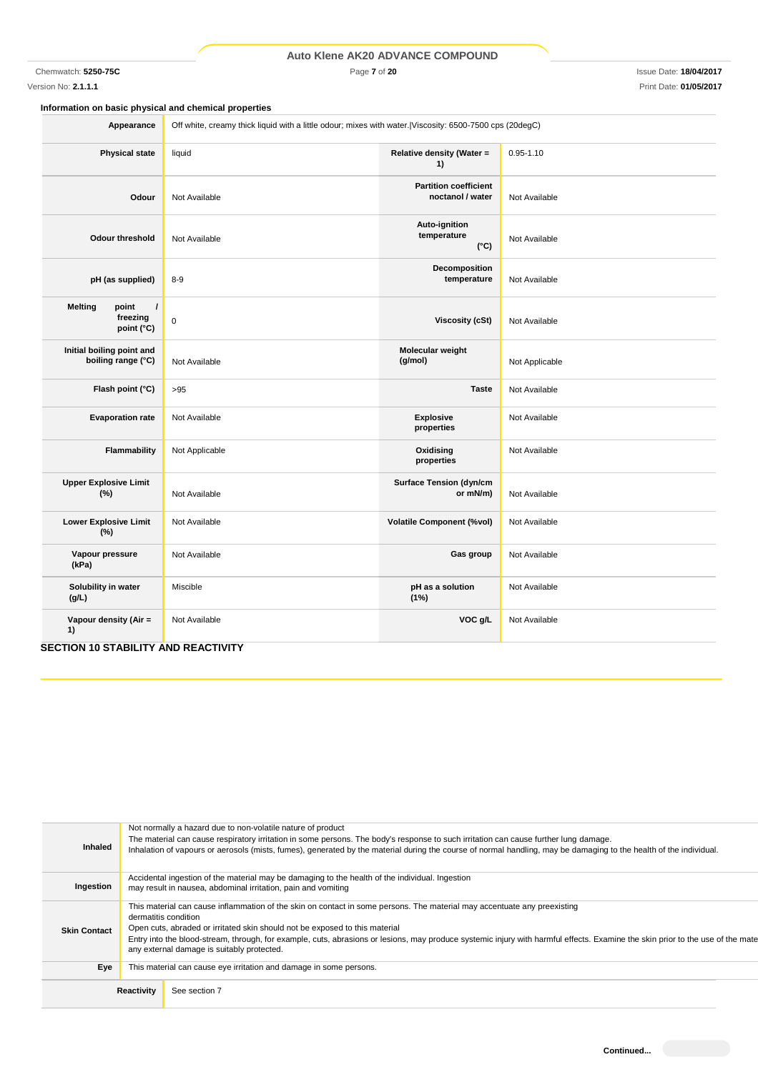Chemwatch: **5250-75C** Page **7** of **20** Issue Date: **18/04/2017**

**Information on basic physical and chemical properties**

| Appearance                                                    | Off white, creamy thick liquid with a little odour; mixes with water. Viscosity: 6500-7500 cps (20degC) |                                                  |                |  |
|---------------------------------------------------------------|---------------------------------------------------------------------------------------------------------|--------------------------------------------------|----------------|--|
| <b>Physical state</b>                                         | liquid                                                                                                  | Relative density (Water =<br>1)                  | $0.95 - 1.10$  |  |
| Odour                                                         | Not Available                                                                                           | <b>Partition coefficient</b><br>noctanol / water | Not Available  |  |
| <b>Odour threshold</b>                                        | Not Available                                                                                           | Auto-ignition<br>temperature<br>$(^{\circ}C)$    | Not Available  |  |
| pH (as supplied)                                              | $8 - 9$                                                                                                 | Decomposition<br>temperature                     | Not Available  |  |
| <b>Melting</b><br>point<br>$\prime$<br>freezing<br>point (°C) | $\mathbf 0$                                                                                             | Viscosity (cSt)                                  | Not Available  |  |
| Initial boiling point and<br>boiling range (°C)               | Not Available                                                                                           | Molecular weight<br>(g/mol)                      | Not Applicable |  |
| Flash point (°C)                                              | >95                                                                                                     | <b>Taste</b>                                     | Not Available  |  |
|                                                               |                                                                                                         |                                                  |                |  |

| Initial boiling point and<br>boiling range (°C) | Not Available  | Molecular weight<br>(g/mol)                | Not Applicable |
|-------------------------------------------------|----------------|--------------------------------------------|----------------|
| Flash point (°C)                                | >95            | <b>Taste</b>                               | Not Available  |
| <b>Evaporation rate</b>                         | Not Available  | <b>Explosive</b><br>properties             | Not Available  |
| Flammability                                    | Not Applicable | Oxidising<br>properties                    | Not Available  |
| <b>Upper Explosive Limit</b><br>(%)             | Not Available  | <b>Surface Tension (dyn/cm</b><br>or mN/m) | Not Available  |
| <b>Lower Explosive Limit</b><br>$(\%)$          | Not Available  | <b>Volatile Component (%vol)</b>           | Not Available  |
| Vapour pressure<br>(kPa)                        | Not Available  | Gas group                                  | Not Available  |
| Solubility in water<br>(g/L)                    | Miscible       | pH as a solution<br>(1%)                   | Not Available  |
| Vapour density (Air =<br>1)                     | Not Available  | VOC g/L                                    | Not Available  |

# **SECTION 10 STABILITY AND REACTIVITY**

| <b>Inhaled</b>      | Not normally a hazard due to non-volatile nature of product<br>The material can cause respiratory irritation in some persons. The body's response to such irritation can cause further lung damage.<br>Inhalation of vapours or aerosols (mists, fumes), generated by the material during the course of normal handling, may be damaging to the health of the individual.                                                                                       |  |  |
|---------------------|-----------------------------------------------------------------------------------------------------------------------------------------------------------------------------------------------------------------------------------------------------------------------------------------------------------------------------------------------------------------------------------------------------------------------------------------------------------------|--|--|
| Ingestion           | Accidental ingestion of the material may be damaging to the health of the individual. Ingestion<br>may result in nausea, abdominal irritation, pain and vomiting                                                                                                                                                                                                                                                                                                |  |  |
| <b>Skin Contact</b> | This material can cause inflammation of the skin on contact in some persons. The material may accentuate any preexisting<br>dermatitis condition<br>Open cuts, abraded or irritated skin should not be exposed to this material<br>Entry into the blood-stream, through, for example, cuts, abrasions or lesions, may produce systemic injury with harmful effects. Examine the skin prior to the use of the mate<br>any external damage is suitably protected. |  |  |
| Eye                 | This material can cause eye irritation and damage in some persons.                                                                                                                                                                                                                                                                                                                                                                                              |  |  |
|                     | Reactivity<br>See section 7                                                                                                                                                                                                                                                                                                                                                                                                                                     |  |  |

Version No: **2.1.1.1** Print Date: **01/05/2017**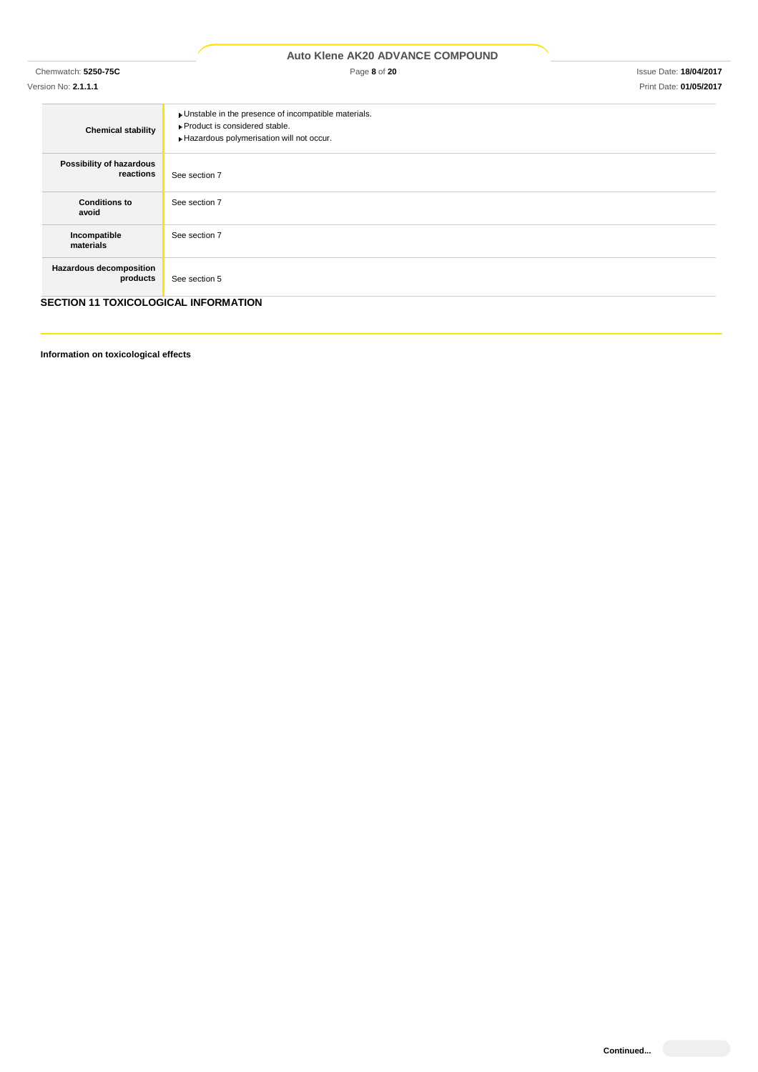| <b>Auto Klene AK20 ADVANCE COMPOUND</b>     |                                                                                                                                      |                               |  |  |  |
|---------------------------------------------|--------------------------------------------------------------------------------------------------------------------------------------|-------------------------------|--|--|--|
| Chemwatch: 5250-75C                         | Page 8 of 20                                                                                                                         | <b>Issue Date: 18/04/2017</b> |  |  |  |
| Version No: 2.1.1.1                         |                                                                                                                                      | Print Date: 01/05/2017        |  |  |  |
| <b>Chemical stability</b>                   | • Unstable in the presence of incompatible materials.<br>▶ Product is considered stable.<br>Hazardous polymerisation will not occur. |                               |  |  |  |
| Possibility of hazardous<br>reactions       | See section 7                                                                                                                        |                               |  |  |  |
| <b>Conditions to</b><br>avoid               | See section 7                                                                                                                        |                               |  |  |  |
| Incompatible<br>materials                   | See section 7                                                                                                                        |                               |  |  |  |
| Hazardous decomposition<br>products         | See section 5                                                                                                                        |                               |  |  |  |
| <b>SECTION 11 TOXICOLOGICAL INFORMATION</b> |                                                                                                                                      |                               |  |  |  |

**Information on toxicological effects**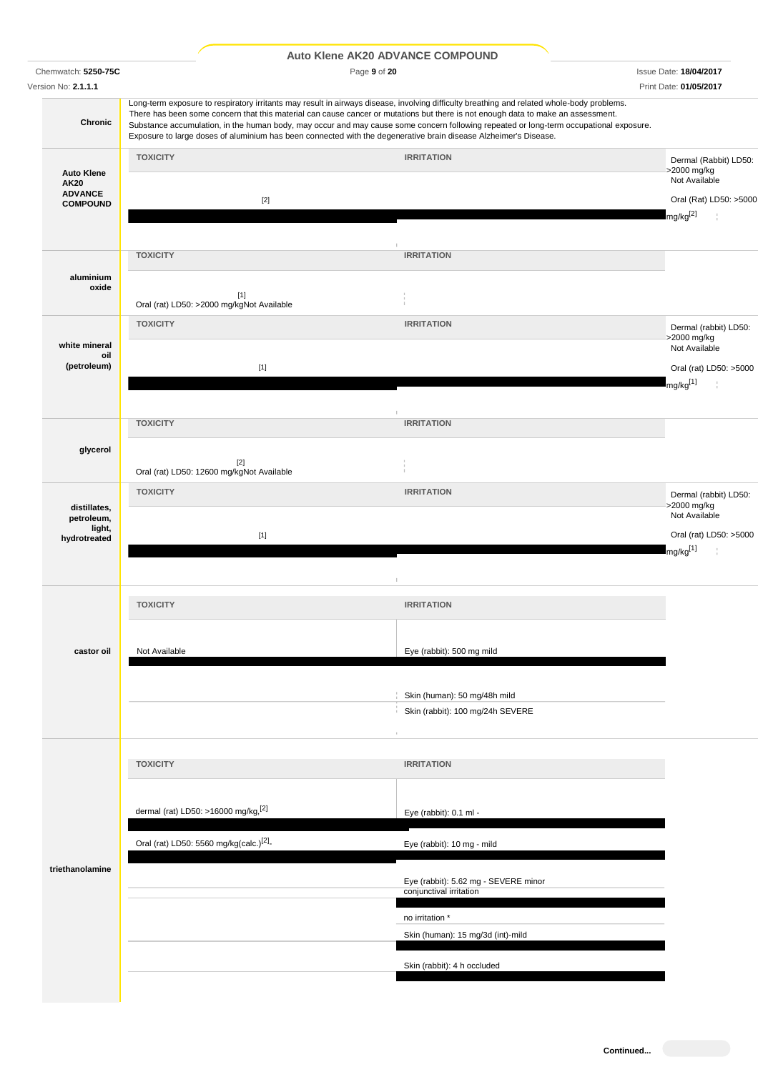|                                                  | Auto Klene AK20 ADVANCE COMPOUND                                                                                                                                                                                                                                                                                                                                                                                                                                                                                                             |                                                                  |                                                                      |
|--------------------------------------------------|----------------------------------------------------------------------------------------------------------------------------------------------------------------------------------------------------------------------------------------------------------------------------------------------------------------------------------------------------------------------------------------------------------------------------------------------------------------------------------------------------------------------------------------------|------------------------------------------------------------------|----------------------------------------------------------------------|
| Chemwatch: 5250-75C                              | Page 9 of 20                                                                                                                                                                                                                                                                                                                                                                                                                                                                                                                                 |                                                                  | <b>Issue Date: 18/04/2017</b>                                        |
| Version No: 2.1.1.1                              |                                                                                                                                                                                                                                                                                                                                                                                                                                                                                                                                              |                                                                  | Print Date: 01/05/2017                                               |
| Chronic                                          | Long-term exposure to respiratory irritants may result in airways disease, involving difficulty breathing and related whole-body problems.<br>There has been some concern that this material can cause cancer or mutations but there is not enough data to make an assessment.<br>Substance accumulation, in the human body, may occur and may cause some concern following repeated or long-term occupational exposure.<br>Exposure to large doses of aluminium has been connected with the degenerative brain disease Alzheimer's Disease. |                                                                  |                                                                      |
| <b>Auto Klene</b>                                | <b>TOXICITY</b>                                                                                                                                                                                                                                                                                                                                                                                                                                                                                                                              | <b>IRRITATION</b>                                                | Dermal (Rabbit) LD50:<br>>2000 mg/kg                                 |
| <b>AK20</b><br><b>ADVANCE</b><br><b>COMPOUND</b> | $[2]$                                                                                                                                                                                                                                                                                                                                                                                                                                                                                                                                        |                                                                  | Not Available<br>Oral (Rat) LD50: >5000<br>$mg/kg^{[2]}$             |
|                                                  | <b>TOXICITY</b>                                                                                                                                                                                                                                                                                                                                                                                                                                                                                                                              | <b>IRRITATION</b>                                                |                                                                      |
| aluminium<br>oxide                               | [1]<br>Oral (rat) LD50: >2000 mg/kgNot Available                                                                                                                                                                                                                                                                                                                                                                                                                                                                                             |                                                                  |                                                                      |
|                                                  | <b>TOXICITY</b>                                                                                                                                                                                                                                                                                                                                                                                                                                                                                                                              | <b>IRRITATION</b>                                                | Dermal (rabbit) LD50:<br>>2000 mg/kg                                 |
| white mineral<br>oil<br>(petroleum)              | $[1]$                                                                                                                                                                                                                                                                                                                                                                                                                                                                                                                                        |                                                                  | Not Available<br>Oral (rat) LD50: >5000                              |
|                                                  |                                                                                                                                                                                                                                                                                                                                                                                                                                                                                                                                              |                                                                  | mg/kg <sup>[1]</sup>                                                 |
|                                                  | <b>TOXICITY</b>                                                                                                                                                                                                                                                                                                                                                                                                                                                                                                                              | <b>IRRITATION</b>                                                |                                                                      |
| glycerol                                         | $[2]$<br>Oral (rat) LD50: 12600 mg/kgNot Available                                                                                                                                                                                                                                                                                                                                                                                                                                                                                           |                                                                  |                                                                      |
| distillates,                                     | <b>TOXICITY</b>                                                                                                                                                                                                                                                                                                                                                                                                                                                                                                                              | <b>IRRITATION</b>                                                | Dermal (rabbit) LD50:<br>>2000 mg/kg                                 |
| petroleum,<br>light,<br>hydrotreated             | $[1]$                                                                                                                                                                                                                                                                                                                                                                                                                                                                                                                                        |                                                                  | Not Available<br>Oral (rat) LD50: >5000<br>mg/kg <sup>[1]</sup><br>t |
|                                                  | <b>TOXICITY</b>                                                                                                                                                                                                                                                                                                                                                                                                                                                                                                                              | <b>IRRITATION</b>                                                |                                                                      |
| castor oil                                       | Not Available                                                                                                                                                                                                                                                                                                                                                                                                                                                                                                                                | Eye (rabbit): 500 mg mild                                        |                                                                      |
|                                                  |                                                                                                                                                                                                                                                                                                                                                                                                                                                                                                                                              | Skin (human): 50 mg/48h mild<br>Skin (rabbit): 100 mg/24h SEVERE |                                                                      |
|                                                  | <b>TOXICITY</b>                                                                                                                                                                                                                                                                                                                                                                                                                                                                                                                              | <b>IRRITATION</b>                                                |                                                                      |
|                                                  | dermal (rat) LD50: >16000 mg/kg, <sup>[2]</sup>                                                                                                                                                                                                                                                                                                                                                                                                                                                                                              | Eye (rabbit): 0.1 ml -                                           |                                                                      |
|                                                  | Oral (rat) LD50: 5560 mg/kg(calc.) <sup>[2]</sup> -                                                                                                                                                                                                                                                                                                                                                                                                                                                                                          | Eye (rabbit): 10 mg - mild                                       |                                                                      |
| triethanolamine                                  |                                                                                                                                                                                                                                                                                                                                                                                                                                                                                                                                              | Eye (rabbit): 5.62 mg - SEVERE minor<br>conjunctival irritation  |                                                                      |
|                                                  |                                                                                                                                                                                                                                                                                                                                                                                                                                                                                                                                              | no irritation *<br>Skin (human): 15 mg/3d (int)-mild             |                                                                      |
|                                                  |                                                                                                                                                                                                                                                                                                                                                                                                                                                                                                                                              | Skin (rabbit): 4 h occluded                                      |                                                                      |
|                                                  |                                                                                                                                                                                                                                                                                                                                                                                                                                                                                                                                              |                                                                  |                                                                      |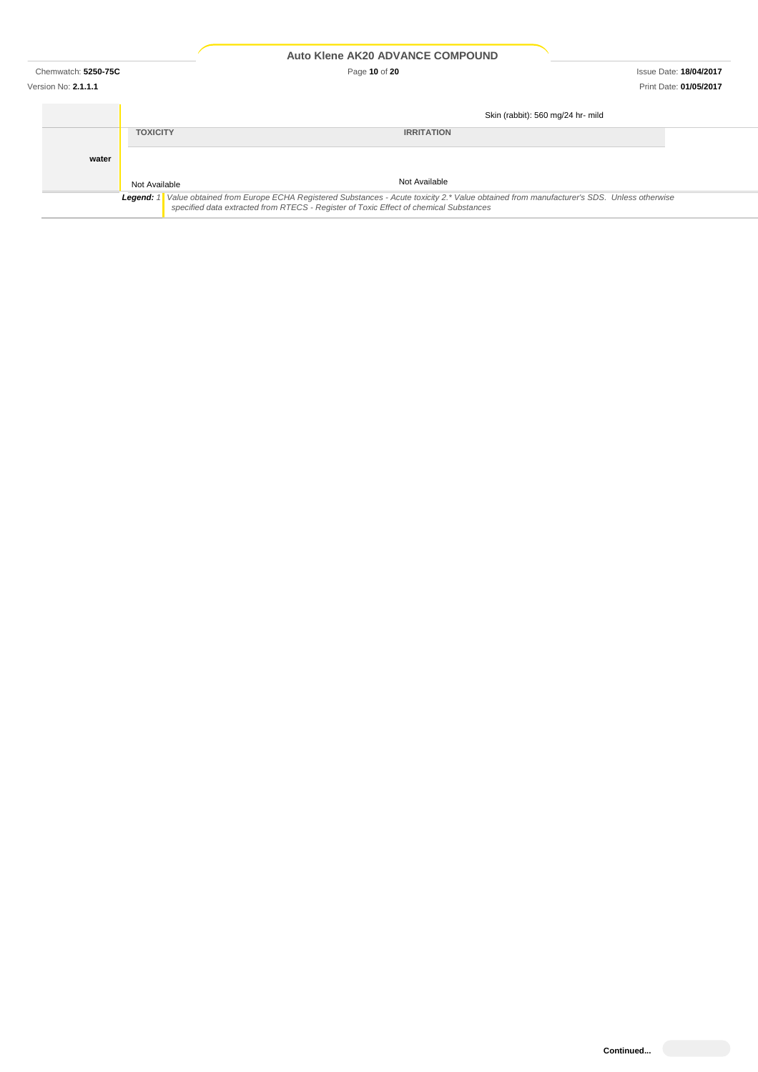Chemwatch: **5250-75C** Page **10** of **20** Issue Date: **18/04/2017**

|                                                                                                                                                                                                                                        |                 | Skin (rabbit): 560 mg/24 hr- mild |  |  |
|----------------------------------------------------------------------------------------------------------------------------------------------------------------------------------------------------------------------------------------|-----------------|-----------------------------------|--|--|
|                                                                                                                                                                                                                                        | <b>TOXICITY</b> | <b>IRRITATION</b>                 |  |  |
| water                                                                                                                                                                                                                                  |                 |                                   |  |  |
|                                                                                                                                                                                                                                        | Not Available   | Not Available                     |  |  |
| Legend: 1 Value obtained from Europe ECHA Registered Substances - Acute toxicity 2.* Value obtained from manufacturer's SDS. Unless otherwise<br>specified data extracted from RTECS - Register of Toxic Effect of chemical Substances |                 |                                   |  |  |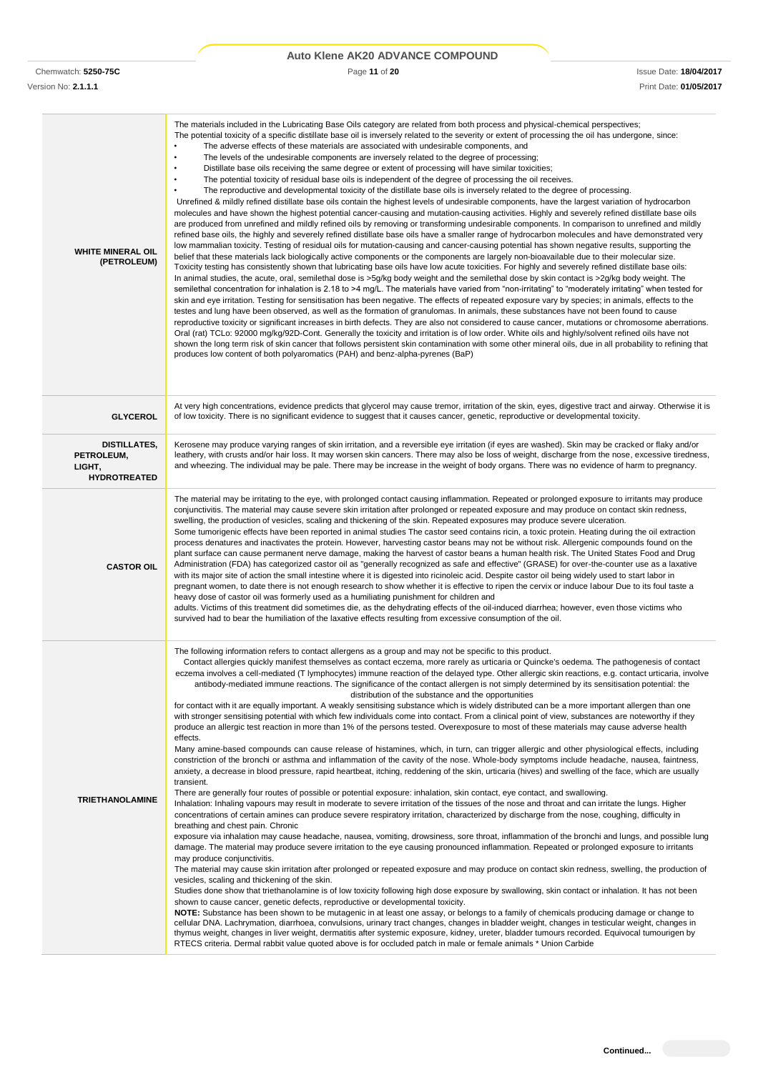|                                                                    | <b>Auto Klene AK20 ADVANCE COMPOUND</b>                                                                                                                                                                                                                                                                                                                                                                                                                                                                                                                                                                                                                                                                                                                                                                                                                                                                                                                                                                                                                                                                                                                                                                                                                                                                                                                                                                                                                                                                                                                                                                                                                                                                                                                                                                                                                                                                                                                                                                                                                                                                                                                                                                                                                                                                                                                                                                                                                                                                                                                                                                                                                                                                                                                                                                                                                                                                                                                                                                                                                                                                                                                                                                                                                                                                                                                                         |                                                         |
|--------------------------------------------------------------------|---------------------------------------------------------------------------------------------------------------------------------------------------------------------------------------------------------------------------------------------------------------------------------------------------------------------------------------------------------------------------------------------------------------------------------------------------------------------------------------------------------------------------------------------------------------------------------------------------------------------------------------------------------------------------------------------------------------------------------------------------------------------------------------------------------------------------------------------------------------------------------------------------------------------------------------------------------------------------------------------------------------------------------------------------------------------------------------------------------------------------------------------------------------------------------------------------------------------------------------------------------------------------------------------------------------------------------------------------------------------------------------------------------------------------------------------------------------------------------------------------------------------------------------------------------------------------------------------------------------------------------------------------------------------------------------------------------------------------------------------------------------------------------------------------------------------------------------------------------------------------------------------------------------------------------------------------------------------------------------------------------------------------------------------------------------------------------------------------------------------------------------------------------------------------------------------------------------------------------------------------------------------------------------------------------------------------------------------------------------------------------------------------------------------------------------------------------------------------------------------------------------------------------------------------------------------------------------------------------------------------------------------------------------------------------------------------------------------------------------------------------------------------------------------------------------------------------------------------------------------------------------------------------------------------------------------------------------------------------------------------------------------------------------------------------------------------------------------------------------------------------------------------------------------------------------------------------------------------------------------------------------------------------------------------------------------------------------------------------------------------------|---------------------------------------------------------|
| Chemwatch: 5250-75C<br>Version No: 2.1.1.1                         | Page 11 of 20                                                                                                                                                                                                                                                                                                                                                                                                                                                                                                                                                                                                                                                                                                                                                                                                                                                                                                                                                                                                                                                                                                                                                                                                                                                                                                                                                                                                                                                                                                                                                                                                                                                                                                                                                                                                                                                                                                                                                                                                                                                                                                                                                                                                                                                                                                                                                                                                                                                                                                                                                                                                                                                                                                                                                                                                                                                                                                                                                                                                                                                                                                                                                                                                                                                                                                                                                                   | <b>Issue Date: 18/04/2017</b><br>Print Date: 01/05/2017 |
| <b>WHITE MINERAL OIL</b><br>(PETROLEUM)                            | The materials included in the Lubricating Base Oils category are related from both process and physical-chemical perspectives;<br>The potential toxicity of a specific distillate base oil is inversely related to the severity or extent of processing the oil has undergone, since:<br>The adverse effects of these materials are associated with undesirable components, and<br>$\bullet$<br>The levels of the undesirable components are inversely related to the degree of processing;<br>$\bullet$<br>Distillate base oils receiving the same degree or extent of processing will have similar toxicities;<br>$\bullet$<br>The potential toxicity of residual base oils is independent of the degree of processing the oil receives.<br>$\bullet$<br>The reproductive and developmental toxicity of the distillate base oils is inversely related to the degree of processing.<br>Unrefined & mildly refined distillate base oils contain the highest levels of undesirable components, have the largest variation of hydrocarbon<br>molecules and have shown the highest potential cancer-causing and mutation-causing activities. Highly and severely refined distillate base oils<br>are produced from unrefined and mildly refined oils by removing or transforming undesirable components. In comparison to unrefined and mildly<br>refined base oils, the highly and severely refined distillate base oils have a smaller range of hydrocarbon molecules and have demonstrated very<br>low mammalian toxicity. Testing of residual oils for mutation-causing and cancer-causing potential has shown negative results, supporting the<br>belief that these materials lack biologically active components or the components are largely non-bioavailable due to their molecular size.<br>Toxicity testing has consistently shown that lubricating base oils have low acute toxicities. For highly and severely refined distillate base oils:<br>In animal studies, the acute, oral, semilethal dose is >5g/kg body weight and the semilethal dose by skin contact is >2g/kg body weight. The<br>semilethal concentration for inhalation is 2.18 to >4 mg/L. The materials have varied from "non-irritating" to "moderately irritating" when tested for<br>skin and eye irritation. Testing for sensitisation has been negative. The effects of repeated exposure vary by species; in animals, effects to the<br>testes and lung have been observed, as well as the formation of granulomas. In animals, these substances have not been found to cause<br>reproductive toxicity or significant increases in birth defects. They are also not considered to cause cancer, mutations or chromosome aberrations.<br>Oral (rat) TCLo: 92000 mg/kg/92D-Cont. Generally the toxicity and irritation is of low order. White oils and highly/solvent refined oils have not<br>shown the long term risk of skin cancer that follows persistent skin contamination with some other mineral oils, due in all probability to refining that<br>produces low content of both polyaromatics (PAH) and benz-alpha-pyrenes (BaP)                                                                                                                                                                                                                                                        |                                                         |
| <b>GLYCEROL</b>                                                    | At very high concentrations, evidence predicts that glycerol may cause tremor, irritation of the skin, eyes, digestive tract and airway. Otherwise it is<br>of low toxicity. There is no significant evidence to suggest that it causes cancer, genetic, reproductive or developmental toxicity.                                                                                                                                                                                                                                                                                                                                                                                                                                                                                                                                                                                                                                                                                                                                                                                                                                                                                                                                                                                                                                                                                                                                                                                                                                                                                                                                                                                                                                                                                                                                                                                                                                                                                                                                                                                                                                                                                                                                                                                                                                                                                                                                                                                                                                                                                                                                                                                                                                                                                                                                                                                                                                                                                                                                                                                                                                                                                                                                                                                                                                                                                |                                                         |
| <b>DISTILLATES,</b><br>PETROLEUM,<br>LIGHT,<br><b>HYDROTREATED</b> | Kerosene may produce varying ranges of skin irritation, and a reversible eye irritation (if eyes are washed). Skin may be cracked or flaky and/or<br>leathery, with crusts and/or hair loss. It may worsen skin cancers. There may also be loss of weight, discharge from the nose, excessive tiredness,<br>and wheezing. The individual may be pale. There may be increase in the weight of body organs. There was no evidence of harm to pregnancy.                                                                                                                                                                                                                                                                                                                                                                                                                                                                                                                                                                                                                                                                                                                                                                                                                                                                                                                                                                                                                                                                                                                                                                                                                                                                                                                                                                                                                                                                                                                                                                                                                                                                                                                                                                                                                                                                                                                                                                                                                                                                                                                                                                                                                                                                                                                                                                                                                                                                                                                                                                                                                                                                                                                                                                                                                                                                                                                           |                                                         |
| <b>CASTOR OIL</b>                                                  | The material may be irritating to the eye, with prolonged contact causing inflammation. Repeated or prolonged exposure to irritants may produce<br>conjunctivitis. The material may cause severe skin irritation after prolonged or repeated exposure and may produce on contact skin redness,<br>swelling, the production of vesicles, scaling and thickening of the skin. Repeated exposures may produce severe ulceration.<br>Some tumorigenic effects have been reported in animal studies The castor seed contains ricin, a toxic protein. Heating during the oil extraction<br>process denatures and inactivates the protein. However, harvesting castor beans may not be without risk. Allergenic compounds found on the<br>plant surface can cause permanent nerve damage, making the harvest of castor beans a human health risk. The United States Food and Drug<br>Administration (FDA) has categorized castor oil as "generally recognized as safe and effective" (GRASE) for over-the-counter use as a laxative<br>with its major site of action the small intestine where it is digested into ricinoleic acid. Despite castor oil being widely used to start labor in<br>pregnant women, to date there is not enough research to show whether it is effective to ripen the cervix or induce labour Due to its foul taste a<br>heavy dose of castor oil was formerly used as a humiliating punishment for children and<br>adults. Victims of this treatment did sometimes die, as the dehydrating effects of the oil-induced diarrhea; however, even those victims who<br>survived had to bear the humiliation of the laxative effects resulting from excessive consumption of the oil.                                                                                                                                                                                                                                                                                                                                                                                                                                                                                                                                                                                                                                                                                                                                                                                                                                                                                                                                                                                                                                                                                                                                                                                                                                                                                                                                                                                                                                                                                                                                                                                                                                                                            |                                                         |
| <b>TRIETHANOLAMINE</b>                                             | The following information refers to contact allergens as a group and may not be specific to this product.<br>Contact allergies quickly manifest themselves as contact eczema, more rarely as urticaria or Quincke's oedema. The pathogenesis of contact<br>eczema involves a cell-mediated (T lymphocytes) immune reaction of the delayed type. Other allergic skin reactions, e.g. contact urticaria, involve<br>antibody-mediated immune reactions. The significance of the contact allergen is not simply determined by its sensitisation potential: the<br>distribution of the substance and the opportunities<br>for contact with it are equally important. A weakly sensitising substance which is widely distributed can be a more important allergen than one<br>with stronger sensitising potential with which few individuals come into contact. From a clinical point of view, substances are noteworthy if they<br>produce an allergic test reaction in more than 1% of the persons tested. Overexposure to most of these materials may cause adverse health<br>effects.<br>Many amine-based compounds can cause release of histamines, which, in turn, can trigger allergic and other physiological effects, including<br>constriction of the bronchi or asthma and inflammation of the cavity of the nose. Whole-body symptoms include headache, nausea, faintness,<br>anxiety, a decrease in blood pressure, rapid heartbeat, itching, reddening of the skin, urticaria (hives) and swelling of the face, which are usually<br>transient.<br>There are generally four routes of possible or potential exposure: inhalation, skin contact, eye contact, and swallowing.<br>Inhalation: Inhaling vapours may result in moderate to severe irritation of the tissues of the nose and throat and can irritate the lungs. Higher<br>concentrations of certain amines can produce severe respiratory irritation, characterized by discharge from the nose, coughing, difficulty in<br>breathing and chest pain. Chronic<br>exposure via inhalation may cause headache, nausea, vomiting, drowsiness, sore throat, inflammation of the bronchi and lungs, and possible lung<br>damage. The material may produce severe irritation to the eye causing pronounced inflammation. Repeated or prolonged exposure to irritants<br>may produce conjunctivitis.<br>The material may cause skin irritation after prolonged or repeated exposure and may produce on contact skin redness, swelling, the production of<br>vesicles, scaling and thickening of the skin.<br>Studies done show that triethanolamine is of low toxicity following high dose exposure by swallowing, skin contact or inhalation. It has not been<br>shown to cause cancer, genetic defects, reproductive or developmental toxicity.<br>NOTE: Substance has been shown to be mutagenic in at least one assay, or belongs to a family of chemicals producing damage or change to<br>cellular DNA. Lachrymation, diarrhoea, convulsions, urinary tract changes, changes in bladder weight, changes in testicular weight, changes in<br>thymus weight, changes in liver weight, dermatitis after systemic exposure, kidney, ureter, bladder tumours recorded. Equivocal tumourigen by<br>RTECS criteria. Dermal rabbit value quoted above is for occluded patch in male or female animals * Union Carbide |                                                         |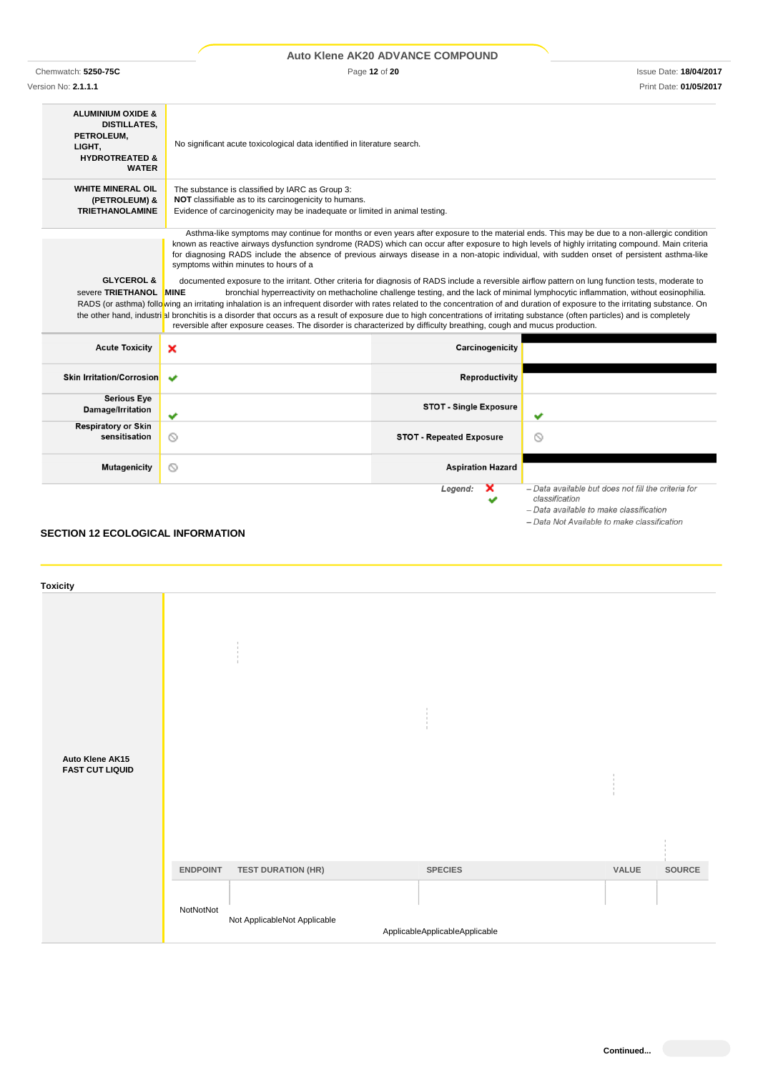|                                                                                                                                                                                                                                                                                                                                                                                                                                                                                                                                                                                                                                                                                                                                                                                                                                              |                                                                                                                                                                                                                                                                                                                                                                                                                                                                                         | Auto Klene AK20 ADVANCE COMPOUND |                        |
|----------------------------------------------------------------------------------------------------------------------------------------------------------------------------------------------------------------------------------------------------------------------------------------------------------------------------------------------------------------------------------------------------------------------------------------------------------------------------------------------------------------------------------------------------------------------------------------------------------------------------------------------------------------------------------------------------------------------------------------------------------------------------------------------------------------------------------------------|-----------------------------------------------------------------------------------------------------------------------------------------------------------------------------------------------------------------------------------------------------------------------------------------------------------------------------------------------------------------------------------------------------------------------------------------------------------------------------------------|----------------------------------|------------------------|
| Chemwatch: 5250-75C                                                                                                                                                                                                                                                                                                                                                                                                                                                                                                                                                                                                                                                                                                                                                                                                                          |                                                                                                                                                                                                                                                                                                                                                                                                                                                                                         | Page 12 of 20                    |                        |
| Version No: 2.1.1.1                                                                                                                                                                                                                                                                                                                                                                                                                                                                                                                                                                                                                                                                                                                                                                                                                          |                                                                                                                                                                                                                                                                                                                                                                                                                                                                                         |                                  | Print Date: 01/05/2017 |
| <b>ALUMINIUM OXIDE &amp;</b><br><b>DISTILLATES,</b><br>PETROLEUM.<br>LIGHT,<br><b>HYDROTREATED &amp;</b><br><b>WATER</b>                                                                                                                                                                                                                                                                                                                                                                                                                                                                                                                                                                                                                                                                                                                     | No significant acute toxicological data identified in literature search.                                                                                                                                                                                                                                                                                                                                                                                                                |                                  |                        |
| <b>WHITE MINERAL OIL</b><br>(PETROLEUM) &<br><b>TRIETHANOLAMINE</b>                                                                                                                                                                                                                                                                                                                                                                                                                                                                                                                                                                                                                                                                                                                                                                          | The substance is classified by IARC as Group 3:<br>NOT classifiable as to its carcinogenicity to humans.<br>Evidence of carcinogenicity may be inadequate or limited in animal testing.                                                                                                                                                                                                                                                                                                 |                                  |                        |
|                                                                                                                                                                                                                                                                                                                                                                                                                                                                                                                                                                                                                                                                                                                                                                                                                                              | Asthma-like symptoms may continue for months or even years after exposure to the material ends. This may be due to a non-allergic condition<br>known as reactive airways dysfunction syndrome (RADS) which can occur after exposure to high levels of highly irritating compound. Main criteria<br>for diagnosing RADS include the absence of previous airways disease in a non-atopic individual, with sudden onset of persistent asthma-like<br>symptoms within minutes to hours of a |                                  |                        |
| <b>GLYCEROL &amp;</b><br>documented exposure to the irritant. Other criteria for diagnosis of RADS include a reversible airflow pattern on lung function tests, moderate to<br>severe TRIETHANOL MINE<br>bronchial hyperreactivity on methacholine challenge testing, and the lack of minimal lymphocytic inflammation, without eosinophilia.<br>RADS (or asthma) following an irritating inhalation is an infrequent disorder with rates related to the concentration of and duration of exposure to the irritating substance. On<br>the other hand, industrial bronchitis is a disorder that occurs as a result of exposure due to high concentrations of irritating substance (often particles) and is completely<br>reversible after exposure ceases. The disorder is characterized by difficulty breathing, cough and mucus production. |                                                                                                                                                                                                                                                                                                                                                                                                                                                                                         |                                  |                        |
| <b>Acute Toxicity</b>                                                                                                                                                                                                                                                                                                                                                                                                                                                                                                                                                                                                                                                                                                                                                                                                                        | ×                                                                                                                                                                                                                                                                                                                                                                                                                                                                                       | Carcinogenicity                  |                        |

| ACULE TOXICITY                              | $\boldsymbol{\mathcal{F}}$ | <b>Carcinogenicity</b>          |                                                                                                                  |
|---------------------------------------------|----------------------------|---------------------------------|------------------------------------------------------------------------------------------------------------------|
| Skin Irritation/Corrosion  ↓                |                            | <b>Reproductivity</b>           |                                                                                                                  |
| <b>Serious Eye</b><br>Damage/Irritation     | $\checkmark$               | <b>STOT - Single Exposure</b>   | ັ                                                                                                                |
| <b>Respiratory or Skin</b><br>sensitisation | $\circ$                    | <b>STOT - Repeated Exposure</b> | ∾                                                                                                                |
| <b>Mutagenicity</b>                         | $\circ$                    | <b>Aspiration Hazard</b>        |                                                                                                                  |
|                                             |                            | $\mathbf x$<br>Legend:<br>✔     | - Data available but does not fill the criteria for<br>classification<br>- Data available to make classification |

# **SECTION 12 ECOLOGICAL INFORMATION**

| <b>Toxicity</b>                           |                 |                              |                                |       |        |
|-------------------------------------------|-----------------|------------------------------|--------------------------------|-------|--------|
| Auto Klene AK15<br><b>FAST CUT LIQUID</b> |                 |                              |                                |       |        |
|                                           | <b>ENDPOINT</b> | <b>TEST DURATION (HR)</b>    | <b>SPECIES</b>                 | VALUE | SOURCE |
|                                           | NotNotNot       | Not ApplicableNot Applicable | ApplicableApplicableApplicable |       |        |

- Data Not Available to make classification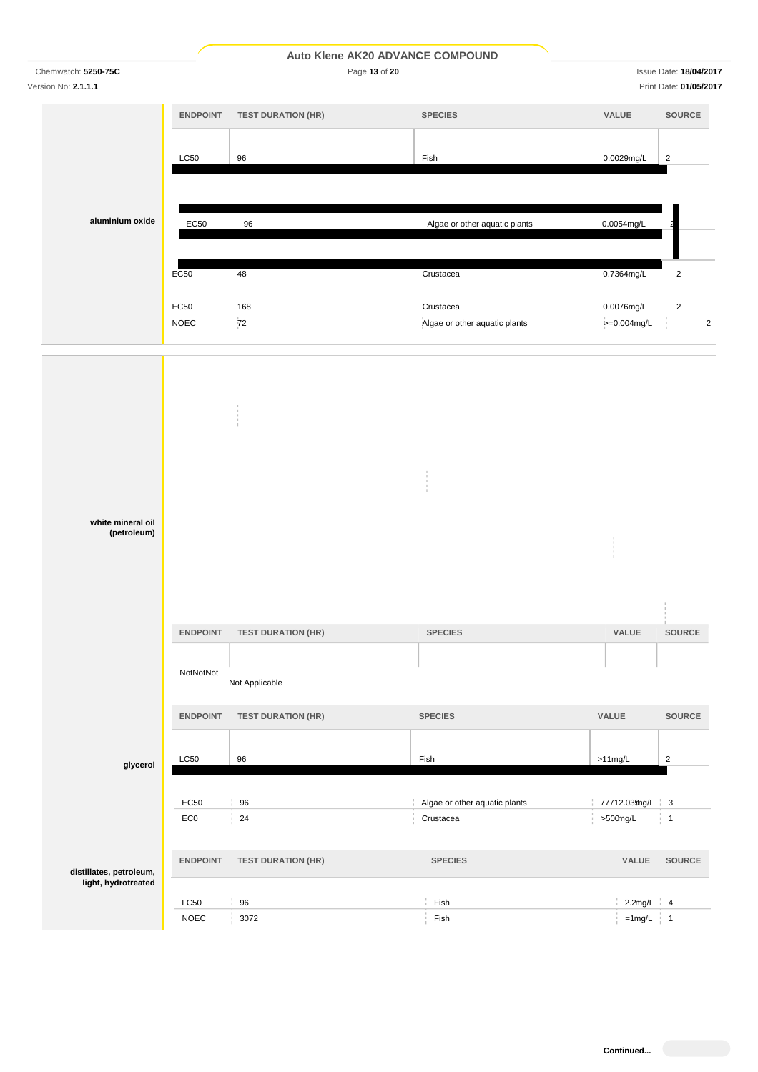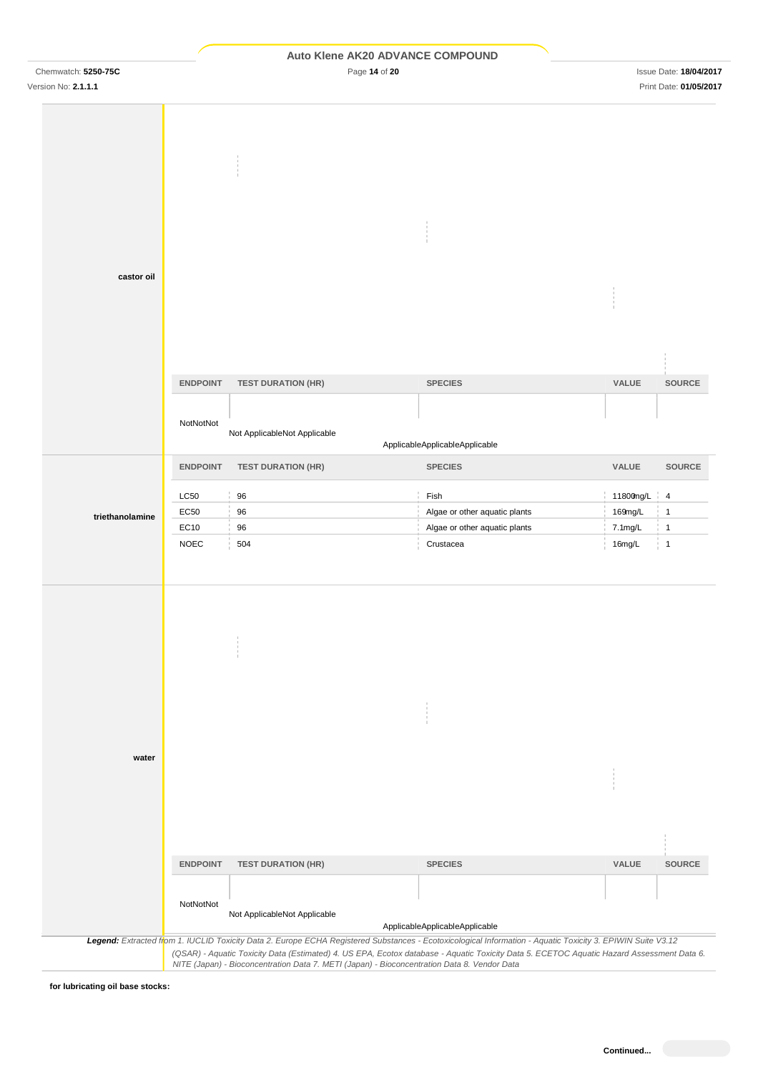|  |  |  |  | <b>Auto Klene AK20 ADVANCE COMPOUND</b> |
|--|--|--|--|-----------------------------------------|
|--|--|--|--|-----------------------------------------|

Chemwatch: **5250-75C** Page **14** of **20** Issue Date: **18/04/2017**

| castor oil      |                 |                                                                                                                                                                                                                                          |                                |                   |                 |
|-----------------|-----------------|------------------------------------------------------------------------------------------------------------------------------------------------------------------------------------------------------------------------------------------|--------------------------------|-------------------|-----------------|
|                 |                 |                                                                                                                                                                                                                                          |                                |                   |                 |
|                 |                 |                                                                                                                                                                                                                                          |                                |                   |                 |
|                 |                 |                                                                                                                                                                                                                                          |                                |                   |                 |
|                 |                 |                                                                                                                                                                                                                                          |                                |                   |                 |
|                 |                 |                                                                                                                                                                                                                                          |                                |                   |                 |
|                 | <b>ENDPOINT</b> | <b>TEST DURATION (HR)</b>                                                                                                                                                                                                                | <b>SPECIES</b>                 | VALUE             | SOURCE          |
|                 |                 |                                                                                                                                                                                                                                          |                                |                   |                 |
|                 |                 |                                                                                                                                                                                                                                          |                                |                   |                 |
|                 | NotNotNot       | Not ApplicableNot Applicable                                                                                                                                                                                                             |                                |                   |                 |
|                 |                 |                                                                                                                                                                                                                                          | ApplicableApplicableApplicable |                   |                 |
|                 | <b>ENDPOINT</b> | <b>TEST DURATION (HR)</b>                                                                                                                                                                                                                | <b>SPECIES</b>                 | VALUE             | <b>SOURCE</b>   |
|                 |                 |                                                                                                                                                                                                                                          |                                |                   |                 |
|                 | <b>LC50</b>     | 96                                                                                                                                                                                                                                       | Fish                           | 11800mg/L         | $\frac{1}{1}$ 4 |
| triethanolamine | EC50            | 96                                                                                                                                                                                                                                       | Algae or other aquatic plants  | 169mg/L           | $\mathbf{1}$    |
|                 | EC10            | 96                                                                                                                                                                                                                                       | Algae or other aquatic plants  | $7.1 \text{mg/L}$ | $\overline{1}$  |
|                 | <b>NOEC</b>     | 504                                                                                                                                                                                                                                      |                                | 16mg/L            | $\overline{1}$  |
|                 |                 |                                                                                                                                                                                                                                          | Crustacea                      |                   |                 |
|                 |                 |                                                                                                                                                                                                                                          |                                |                   |                 |
|                 |                 |                                                                                                                                                                                                                                          |                                |                   |                 |
|                 |                 |                                                                                                                                                                                                                                          |                                |                   |                 |
|                 |                 |                                                                                                                                                                                                                                          |                                |                   |                 |
|                 |                 |                                                                                                                                                                                                                                          |                                |                   |                 |
|                 |                 |                                                                                                                                                                                                                                          |                                |                   |                 |
|                 |                 |                                                                                                                                                                                                                                          |                                |                   |                 |
|                 |                 |                                                                                                                                                                                                                                          |                                |                   |                 |
|                 |                 |                                                                                                                                                                                                                                          |                                |                   |                 |
|                 |                 |                                                                                                                                                                                                                                          |                                |                   |                 |
|                 |                 |                                                                                                                                                                                                                                          |                                |                   |                 |
| water           |                 |                                                                                                                                                                                                                                          |                                |                   |                 |
|                 |                 |                                                                                                                                                                                                                                          |                                |                   |                 |
|                 |                 |                                                                                                                                                                                                                                          |                                |                   |                 |
|                 |                 |                                                                                                                                                                                                                                          |                                |                   |                 |
|                 |                 |                                                                                                                                                                                                                                          |                                |                   |                 |
|                 |                 |                                                                                                                                                                                                                                          |                                |                   |                 |
|                 |                 |                                                                                                                                                                                                                                          |                                |                   |                 |
|                 | <b>ENDPOINT</b> | <b>TEST DURATION (HR)</b>                                                                                                                                                                                                                | <b>SPECIES</b>                 | VALUE             | <b>SOURCE</b>   |
|                 |                 |                                                                                                                                                                                                                                          |                                |                   |                 |
|                 | NotNotNot       |                                                                                                                                                                                                                                          |                                |                   |                 |
|                 |                 | Not ApplicableNot Applicable                                                                                                                                                                                                             | ApplicableApplicableApplicable |                   |                 |
|                 |                 | Legend: Extracted from 1. IUCLID Toxicity Data 2. Europe ECHA Registered Substances - Ecotoxicological Information - Aquatic Toxicity 3. EPIWIN Suite V3.12                                                                              |                                |                   |                 |
|                 |                 | (QSAR) - Aquatic Toxicity Data (Estimated) 4. US EPA, Ecotox database - Aquatic Toxicity Data 5. ECETOC Aquatic Hazard Assessment Data 6.<br>NITE (Japan) - Bioconcentration Data 7. METI (Japan) - Bioconcentration Data 8. Vendor Data |                                |                   |                 |

**for lubricating oil base stocks:**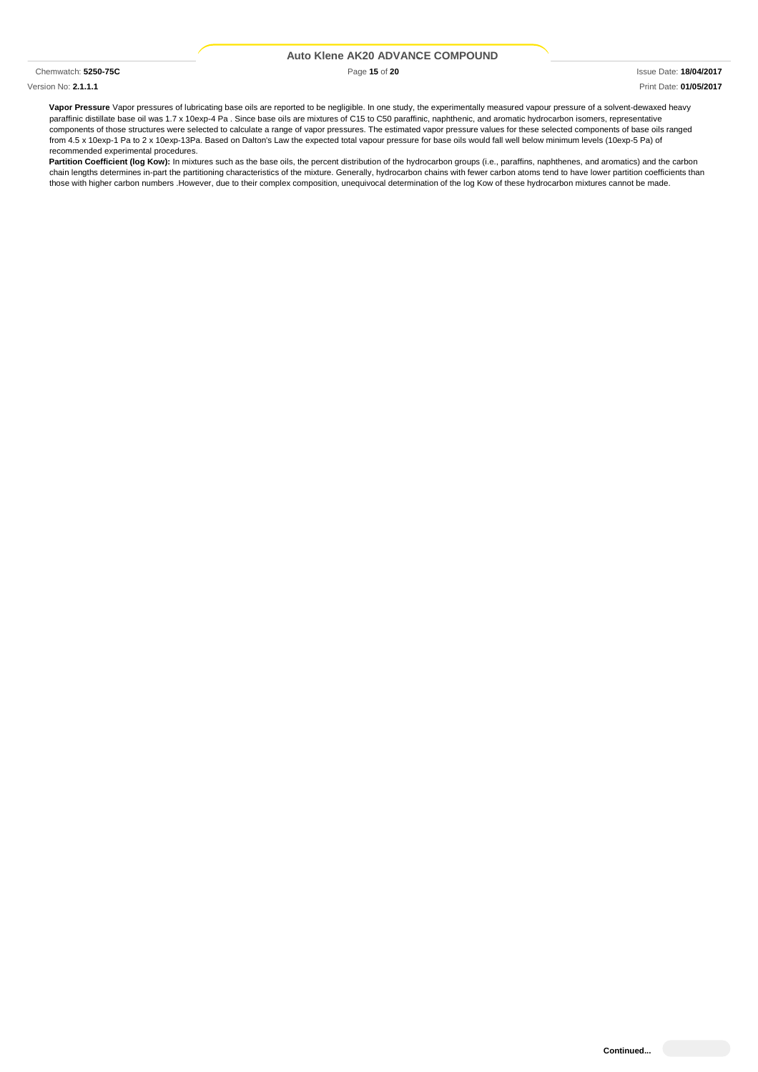Version No: **2.1.1.1** Print Date: **01/05/2017**

Chemwatch: **5250-75C** Page **15** of **20** Issue Date: **18/04/2017**

**Vapor Pressure** Vapor pressures of lubricating base oils are reported to be negligible. In one study, the experimentally measured vapour pressure of a solvent-dewaxed heavy paraffinic distillate base oil was 1.7 x 10exp-4 Pa . Since base oils are mixtures of C15 to C50 paraffinic, naphthenic, and aromatic hydrocarbon isomers, representative components of those structures were selected to calculate a range of vapor pressures. The estimated vapor pressure values for these selected components of base oils ranged from 4.5 x 10exp-1 Pa to 2 x 10exp-13Pa. Based on Dalton's Law the expected total vapour pressure for base oils would fall well below minimum levels (10exp-5 Pa) of recommended experimental procedures.

**Partition Coefficient (log Kow):** In mixtures such as the base oils, the percent distribution of the hydrocarbon groups (i.e., paraffins, naphthenes, and aromatics) and the carbon chain lengths determines in-part the partitioning characteristics of the mixture. Generally, hydrocarbon chains with fewer carbon atoms tend to have lower partition coefficients than those with higher carbon numbers .However, due to their complex composition, unequivocal determination of the log Kow of these hydrocarbon mixtures cannot be made.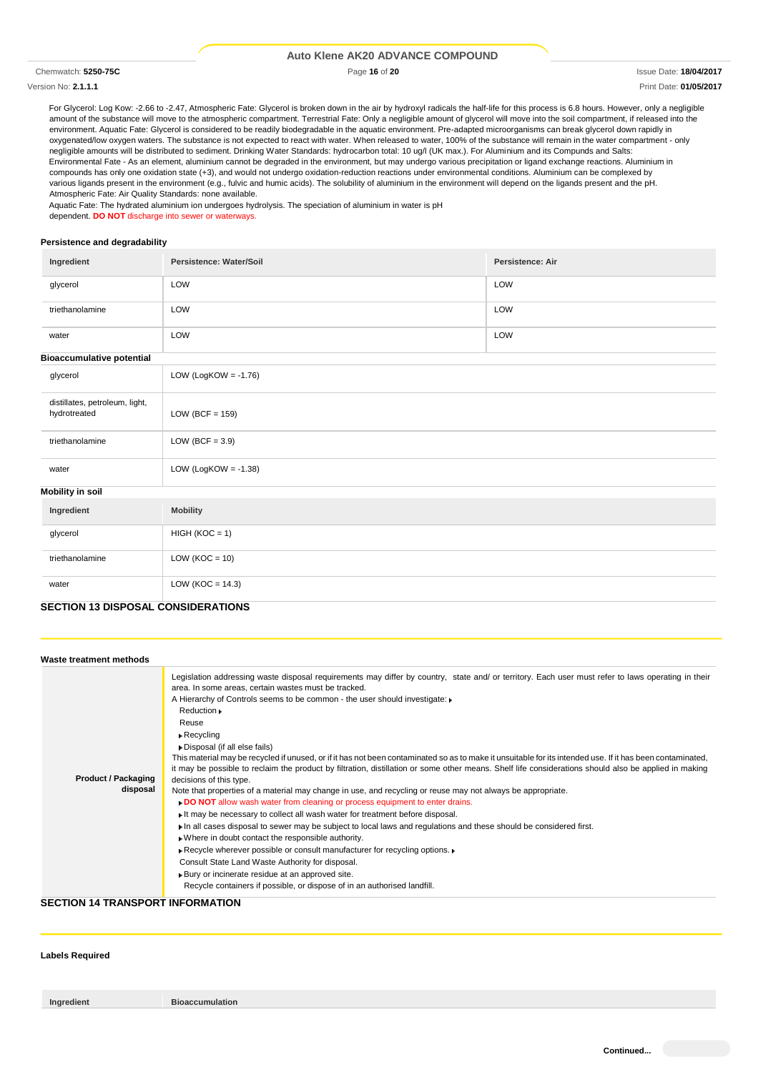Version No: **2.1.1.1** Print Date: **01/05/2017**

Chemwatch: **5250-75C** Page **16** of **20** Issue Date: **18/04/2017**

For Glycerol: Log Kow: -2.66 to -2.47, Atmospheric Fate: Glycerol is broken down in the air by hydroxyl radicals the half-life for this process is 6.8 hours. However, only a negligible amount of the substance will move to the atmospheric compartment. Terrestrial Fate: Only a negligible amount of glycerol will move into the soil compartment, if released into the environment. Aquatic Fate: Glycerol is considered to be readily biodegradable in the aquatic environment. Pre-adapted microorganisms can break glycerol down rapidly in oxygenated/low oxygen waters. The substance is not expected to react with water. When released to water, 100% of the substance will remain in the water compartment - only negligible amounts will be distributed to sediment. Drinking Water Standards: hydrocarbon total: 10 ug/l (UK max.). For Aluminium and its Compunds and Salts: Environmental Fate - As an element, aluminium cannot be degraded in the environment, but may undergo various precipitation or ligand exchange reactions. Aluminium in compounds has only one oxidation state (+3), and would not undergo oxidation-reduction reactions under environmental conditions. Aluminium can be complexed by various ligands present in the environment (e.g., fulvic and humic acids). The solubility of aluminium in the environment will depend on the ligands present and the pH. Atmospheric Fate: Air Quality Standards: none available.

Aquatic Fate: The hydrated aluminium ion undergoes hydrolysis. The speciation of aluminium in water is pH dependent. **DO NOT** discharge into sewer or waterways.

#### **Persistence and degradability**

| Ingredient                                     | Persistence: Water/Soil | <b>Persistence: Air</b> |  |  |
|------------------------------------------------|-------------------------|-------------------------|--|--|
| glycerol                                       | LOW                     | LOW                     |  |  |
| triethanolamine                                | LOW                     | LOW                     |  |  |
| water                                          | LOW<br>LOW              |                         |  |  |
| <b>Bioaccumulative potential</b>               |                         |                         |  |  |
| glycerol                                       | LOW (LogKOW = $-1.76$ ) |                         |  |  |
| distillates, petroleum, light,<br>hydrotreated | LOW (BCF = $159$ )      |                         |  |  |
| triethanolamine                                | LOW (BCF = $3.9$ )      |                         |  |  |
| water                                          | LOW (LogKOW = $-1.38$ ) |                         |  |  |
| <b>Mobility in soil</b>                        |                         |                         |  |  |
| Ingredient                                     | <b>Mobility</b>         |                         |  |  |
| glycerol                                       | $HIGH (KOC = 1)$        |                         |  |  |
| triethanolamine                                | LOW ( $KOC = 10$ )      |                         |  |  |
| water                                          | LOW ( $KOC = 14.3$ )    |                         |  |  |
| <b>SECTION 13 DISPOSAL CONSIDERATIONS</b>      |                         |                         |  |  |

|                                                 | Legislation addressing waste disposal requirements may differ by country, state and/ or territory. Each user must refer to laws operating in their<br>area. In some areas, certain wastes must be tracked.                                                                                                                                                                                                                                                                                                                                                                                                                                                                                                                                                                                                                                                                                                                                                                                                                                                                                                                                                                                                                              |
|-------------------------------------------------|-----------------------------------------------------------------------------------------------------------------------------------------------------------------------------------------------------------------------------------------------------------------------------------------------------------------------------------------------------------------------------------------------------------------------------------------------------------------------------------------------------------------------------------------------------------------------------------------------------------------------------------------------------------------------------------------------------------------------------------------------------------------------------------------------------------------------------------------------------------------------------------------------------------------------------------------------------------------------------------------------------------------------------------------------------------------------------------------------------------------------------------------------------------------------------------------------------------------------------------------|
| Reuse<br><b>Product / Packaging</b><br>disposal | A Hierarchy of Controls seems to be common - the user should investigate:<br>Reduction .<br>$\triangleright$ Recycling<br>Disposal (if all else fails)<br>This material may be recycled if unused, or if it has not been contaminated so as to make it unsuitable for its intended use. If it has been contaminated,<br>it may be possible to reclaim the product by filtration, distillation or some other means. Shelf life considerations should also be applied in making<br>decisions of this type.<br>Note that properties of a material may change in use, and recycling or reuse may not always be appropriate.<br>. DO NOT allow wash water from cleaning or process equipment to enter drains.<br>It may be necessary to collect all wash water for treatment before disposal.<br>In all cases disposal to sewer may be subject to local laws and regulations and these should be considered first.<br>. Where in doubt contact the responsible authority.<br>▶ Recycle wherever possible or consult manufacturer for recycling options. ▶<br>Consult State Land Waste Authority for disposal.<br>Bury or incinerate residue at an approved site.<br>Recycle containers if possible, or dispose of in an authorised landfill. |

#### **SECTION 14 TRANSPORT INFORMATION**

### **Labels Required**

**Ingredient Bioaccumulation**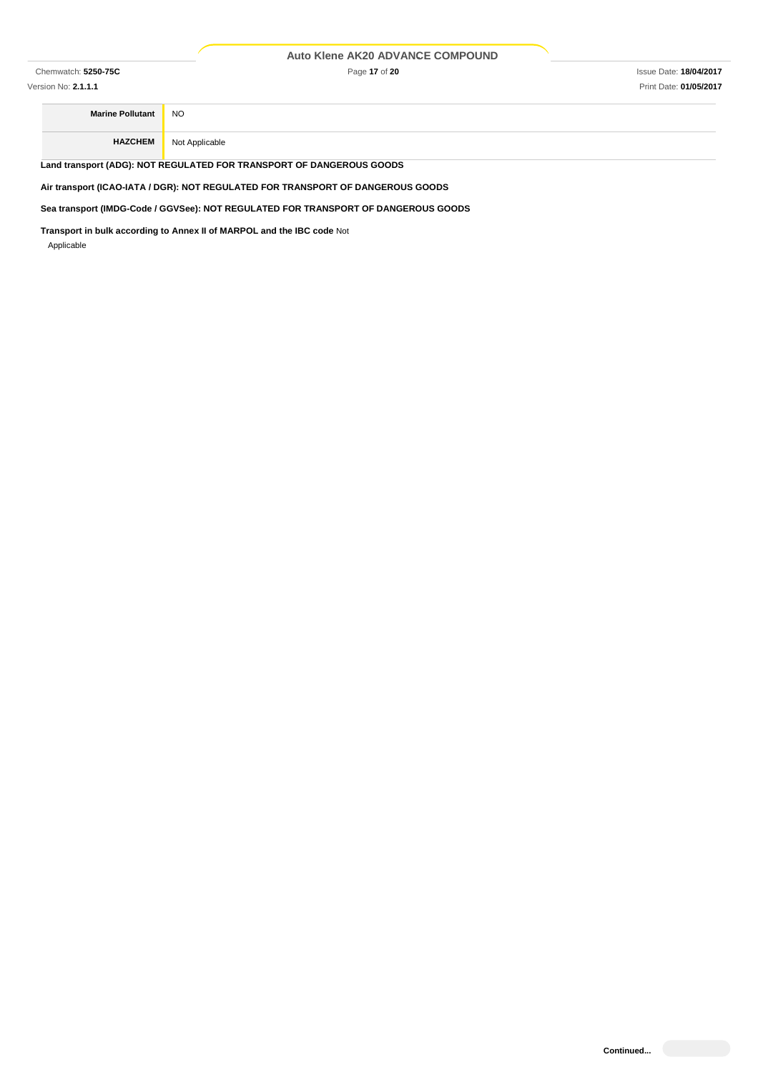Chemwatch: **5250-75C** Page **17** of **20** Issue Date: **18/04/2017**

**Marine Pollutant** NO **HAZCHEM** Not Applicable

**Land transport (ADG): NOT REGULATED FOR TRANSPORT OF DANGEROUS GOODS**

**Air transport (ICAO-IATA / DGR): NOT REGULATED FOR TRANSPORT OF DANGEROUS GOODS**

**Sea transport (IMDG-Code / GGVSee): NOT REGULATED FOR TRANSPORT OF DANGEROUS GOODS**

**Transport in bulk according to Annex II of MARPOL and the IBC code** Not Applicable

**Continued...**

Version No: **2.1.1.1** Print Date: **01/05/2017**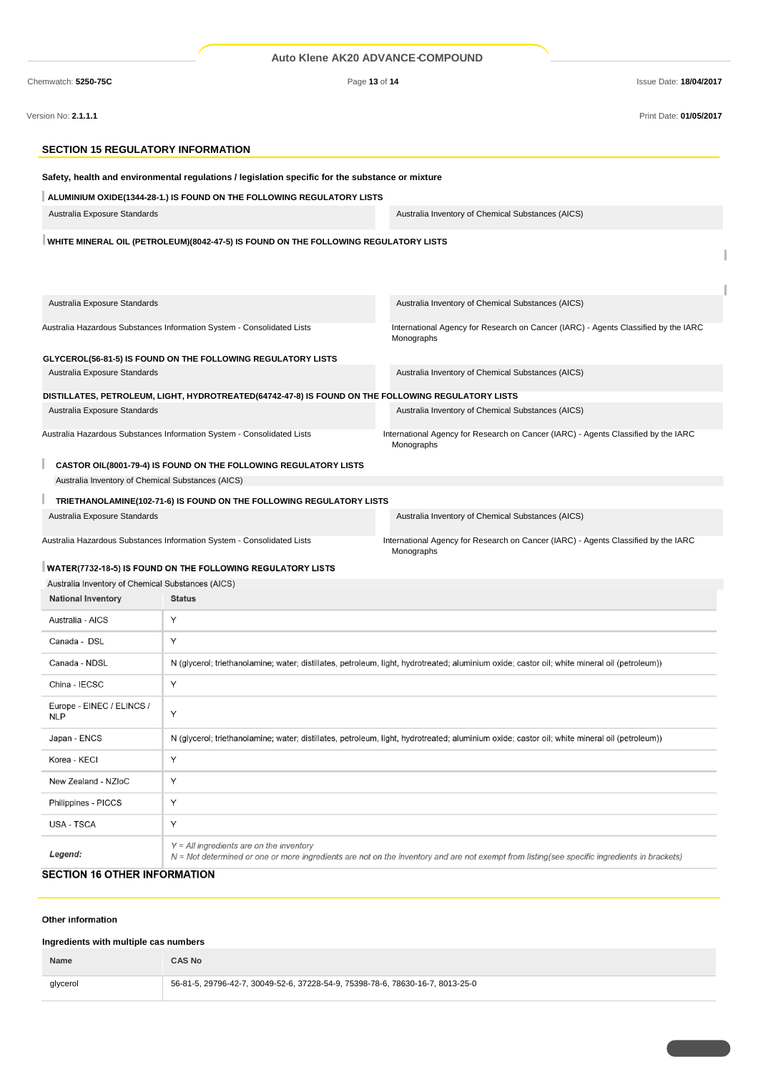| Chemwatch: 5250-75C                               |                                                                                                    | Page 13 of 14<br><b>Issue Date: 18/04/2017</b>                                                                                                |
|---------------------------------------------------|----------------------------------------------------------------------------------------------------|-----------------------------------------------------------------------------------------------------------------------------------------------|
| Version No: 2.1.1.1                               |                                                                                                    | Print Date: 01/05/2017                                                                                                                        |
| <b>SECTION 15 REGULATORY INFORMATION</b>          |                                                                                                    |                                                                                                                                               |
|                                                   | Safety, health and environmental regulations / legislation specific for the substance or mixture   |                                                                                                                                               |
|                                                   | ALUMINIUM OXIDE(1344-28-1.) IS FOUND ON THE FOLLOWING REGULATORY LISTS                             |                                                                                                                                               |
| Australia Exposure Standards                      |                                                                                                    | Australia Inventory of Chemical Substances (AICS)                                                                                             |
|                                                   | WHITE MINERAL OIL (PETROLEUM)(8042-47-5) IS FOUND ON THE FOLLOWING REGULATORY LISTS                |                                                                                                                                               |
| Australia Exposure Standards                      |                                                                                                    | Australia Inventory of Chemical Substances (AICS)                                                                                             |
|                                                   | Australia Hazardous Substances Information System - Consolidated Lists                             | International Agency for Research on Cancer (IARC) - Agents Classified by the IARC<br>Monographs                                              |
|                                                   | GLYCEROL(56-81-5) IS FOUND ON THE FOLLOWING REGULATORY LISTS                                       |                                                                                                                                               |
| Australia Exposure Standards                      |                                                                                                    | Australia Inventory of Chemical Substances (AICS)                                                                                             |
|                                                   | DISTILLATES, PETROLEUM, LIGHT, HYDROTREATED(64742-47-8) IS FOUND ON THE FOLLOWING REGULATORY LISTS |                                                                                                                                               |
| Australia Exposure Standards                      |                                                                                                    | Australia Inventory of Chemical Substances (AICS)                                                                                             |
|                                                   | Australia Hazardous Substances Information System - Consolidated Lists                             | International Agency for Research on Cancer (IARC) - Agents Classified by the IARC<br>Monographs                                              |
|                                                   | <b>CASTOR OIL(8001-79-4) IS FOUND ON THE FOLLOWING REGULATORY LISTS</b>                            |                                                                                                                                               |
| Australia Inventory of Chemical Substances (AICS) |                                                                                                    |                                                                                                                                               |
|                                                   | TRIETHANOLAMINE(102-71-6) IS FOUND ON THE FOLLOWING REGULATORY LISTS                               |                                                                                                                                               |
| Australia Exposure Standards                      |                                                                                                    | Australia Inventory of Chemical Substances (AICS)                                                                                             |
|                                                   | Australia Hazardous Substances Information System - Consolidated Lists                             | International Agency for Research on Cancer (IARC) - Agents Classified by the IARC<br>Monographs                                              |
|                                                   | WATER(7732-18-5) IS FOUND ON THE FOLLOWING REGULATORY LISTS                                        |                                                                                                                                               |
| Australia Inventory of Chemical Substances (AICS) |                                                                                                    |                                                                                                                                               |
| <b>National Inventory</b>                         | <b>Status</b>                                                                                      |                                                                                                                                               |
| Australia - AICS                                  | Υ                                                                                                  |                                                                                                                                               |
| Canada - DSL                                      | Υ                                                                                                  |                                                                                                                                               |
| Canada - NDSL                                     |                                                                                                    | N (glycerol; triethanolamine; water; distillates, petroleum, light, hydrotreated; aluminium oxide; castor oil; white mineral oil (petroleum)) |
| China - IECSC                                     | Υ                                                                                                  |                                                                                                                                               |
| Europe - EINEC / ELINCS /<br><b>NLP</b>           | Y                                                                                                  |                                                                                                                                               |
| Japan - ENCS                                      |                                                                                                    | N (glycerol; triethanolamine; water; distillates, petroleum, light, hydrotreated; aluminium oxide; castor oil; white mineral oil (petroleum)) |
| Korea - KECI                                      | Υ                                                                                                  |                                                                                                                                               |
| New Zealand - NZIoC                               | Υ                                                                                                  |                                                                                                                                               |
| Philippines - PICCS                               | Υ                                                                                                  |                                                                                                                                               |
| USA - TSCA                                        | Υ                                                                                                  |                                                                                                                                               |

# **SECTION 16 OTHER INFORMATION**

# Other information

Legend:

# **Ingredients with multiple cas numbers**

| Name     | <b>CAS No</b>                                                                  |
|----------|--------------------------------------------------------------------------------|
| glycerol | 56-81-5, 29796-42-7, 30049-52-6, 37228-54-9, 75398-78-6, 78630-16-7, 8013-25-0 |

Y = All ingredients are on the inventory<br>N = Not determined or one or more ingredients are not on the inventory and are not exempt from listing(see specific ingredients in brackets)